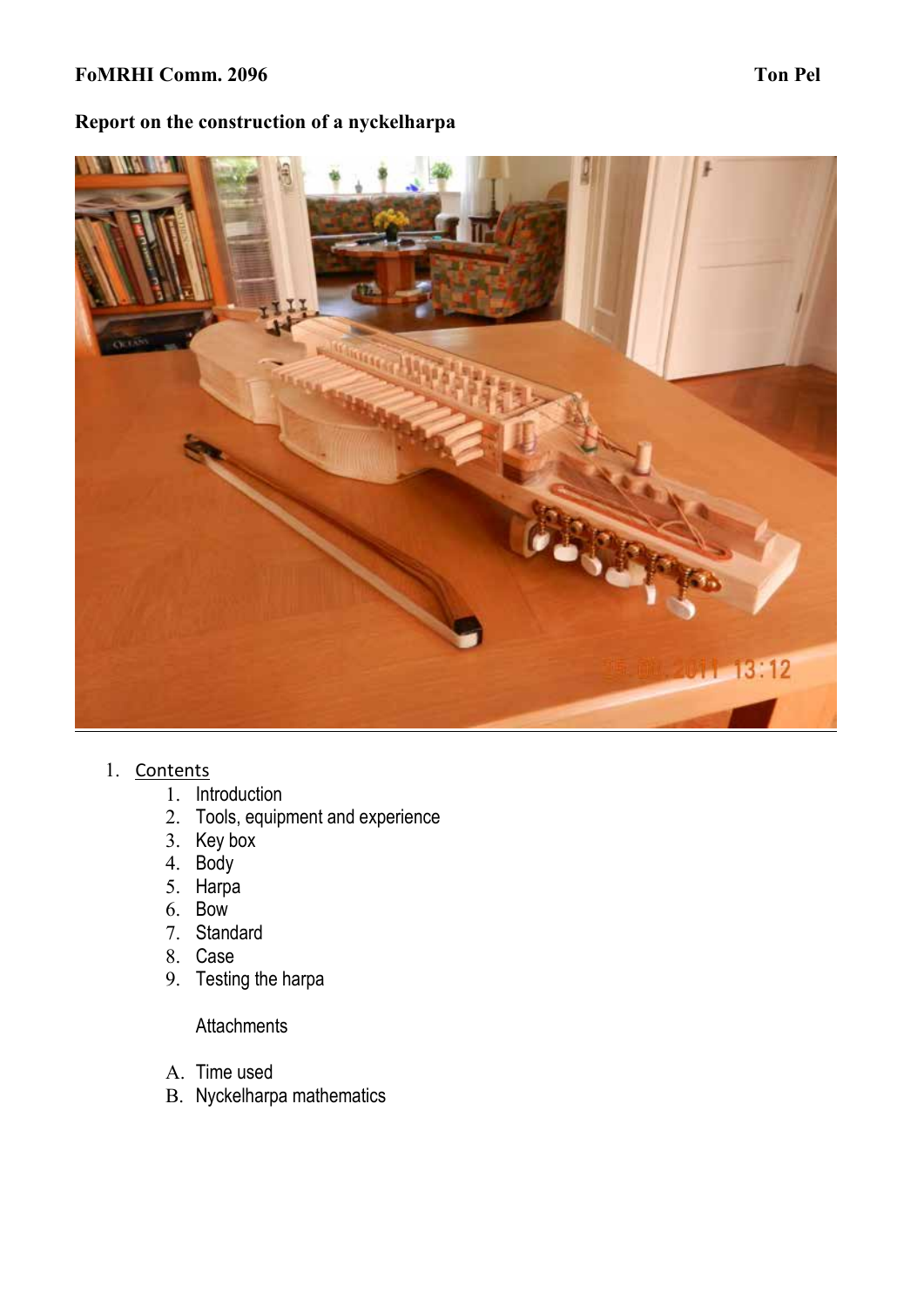### **FoMRHI Comm. 2096 Ton Pel**

# **Report on the construction of a nyckelharpa**



- 1. Contents
	- 1. Introduction
	- 2. Tools, equipment and experience
	- 3. Key box
	- 4. Body
	- 5. Harpa
	- 6. Bow
	- 7. Standard
	- 8. Case
	- 9. Testing the harpa

**Attachments** 

- A. Time used
- B. Nyckelharpa mathematics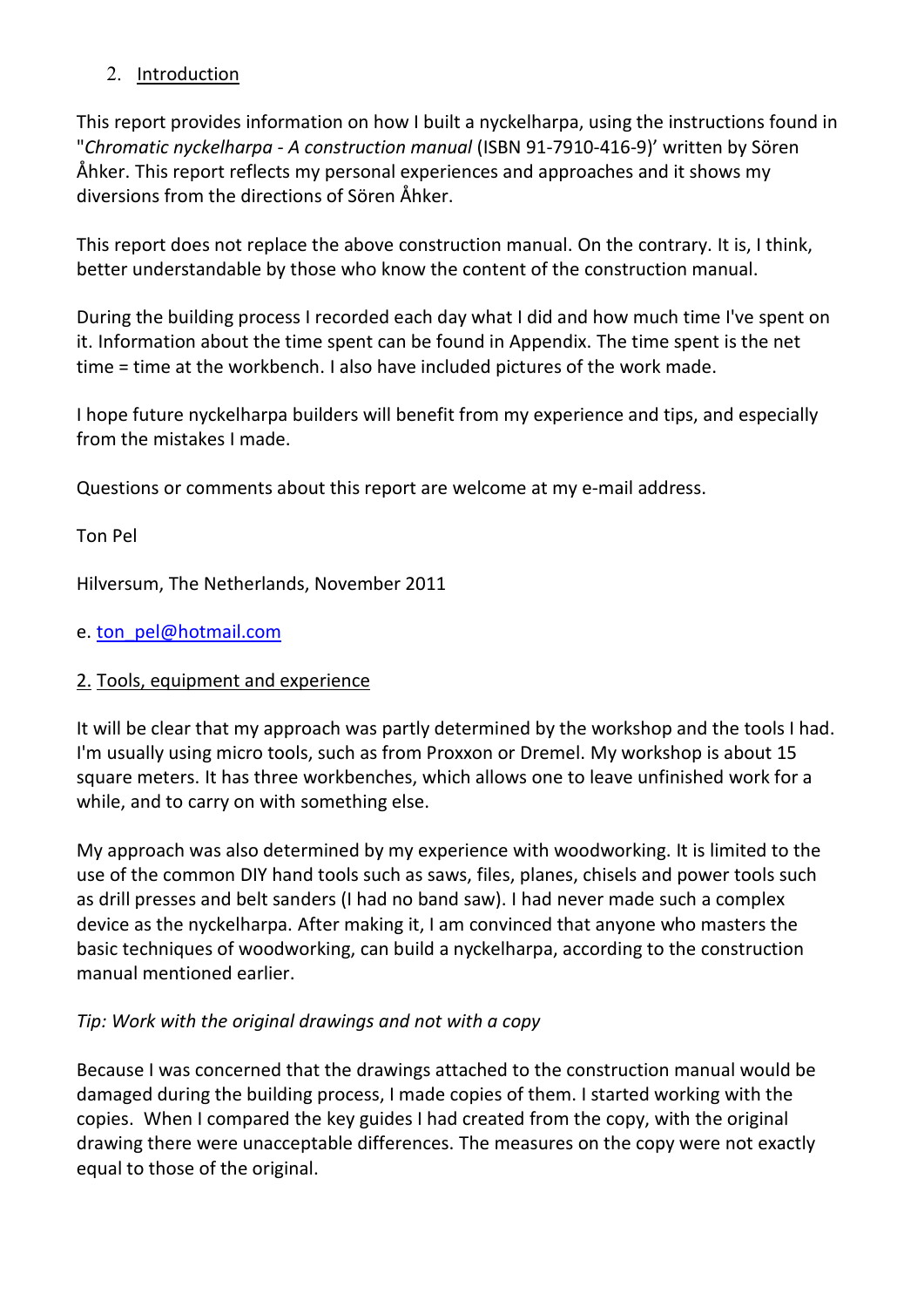## 2. Introduction

This report provides information on how I built a nyckelharpa, using the instructions found in "*Chromatic nyckelharpa - A construction manual* (ISBN 91-7910-416-9)' written by Sören Åhker. This report reflects my personal experiences and approaches and it shows my diversions from the directions of Sören Åhker.

This report does not replace the above construction manual. On the contrary. It is, I think, better understandable by those who know the content of the construction manual.

During the building process I recorded each day what I did and how much time I've spent on it. Information about the time spent can be found in Appendix. The time spent is the net time = time at the workbench. I also have included pictures of the work made.

I hope future nyckelharpa builders will benefit from my experience and tips, and especially from the mistakes I made.

Questions or comments about this report are welcome at my e-mail address.

# Ton Pel

Hilversum, The Netherlands, November 2011

e. ton\_pel@hotmail.com

# 2. Tools, equipment and experience

It will be clear that my approach was partly determined by the workshop and the tools I had. I'm usually using micro tools, such as from Proxxon or Dremel. My workshop is about 15 square meters. It has three workbenches, which allows one to leave unfinished work for a while, and to carry on with something else.

My approach was also determined by my experience with woodworking. It is limited to the use of the common DIY hand tools such as saws, files, planes, chisels and power tools such as drill presses and belt sanders (I had no band saw). I had never made such a complex device as the nyckelharpa. After making it, I am convinced that anyone who masters the basic techniques of woodworking, can build a nyckelharpa, according to the construction manual mentioned earlier.

## *Tip: Work with the original drawings and not with a copy*

Because I was concerned that the drawings attached to the construction manual would be damaged during the building process, I made copies of them. I started working with the copies. When I compared the key guides I had created from the copy, with the original drawing there were unacceptable differences. The measures on the copy were not exactly equal to those of the original.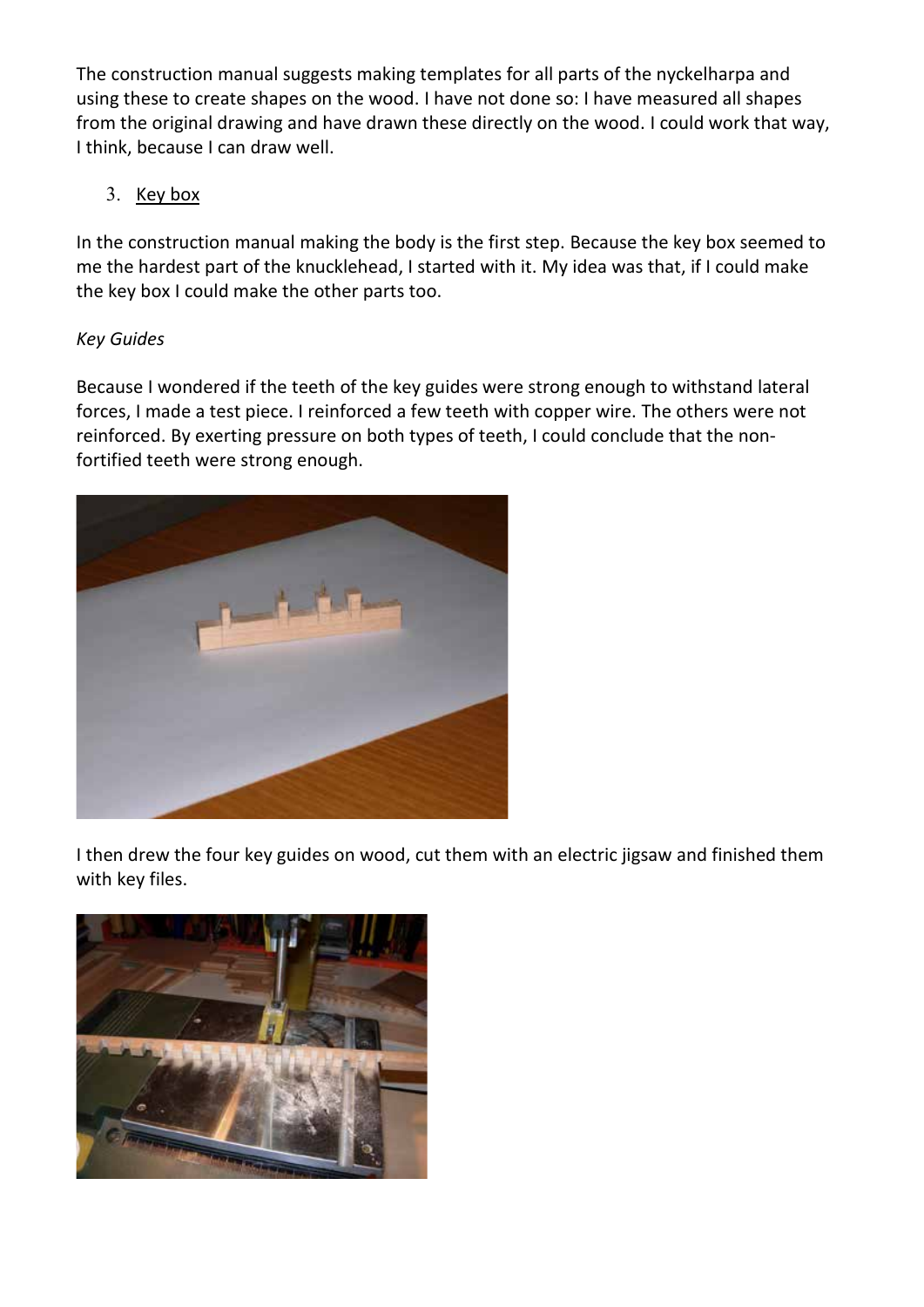The construction manual suggests making templates for all parts of the nyckelharpa and using these to create shapes on the wood. I have not done so: I have measured all shapes from the original drawing and have drawn these directly on the wood. I could work that way, I think, because I can draw well.

## 3. Key box

In the construction manual making the body is the first step. Because the key box seemed to me the hardest part of the knucklehead, I started with it. My idea was that, if I could make the key box I could make the other parts too.

## *Key Guides*

Because I wondered if the teeth of the key guides were strong enough to withstand lateral forces, I made a test piece. I reinforced a few teeth with copper wire. The others were not reinforced. By exerting pressure on both types of teeth, I could conclude that the nonfortified teeth were strong enough.



I then drew the four key guides on wood, cut them with an electric jigsaw and finished them with key files.

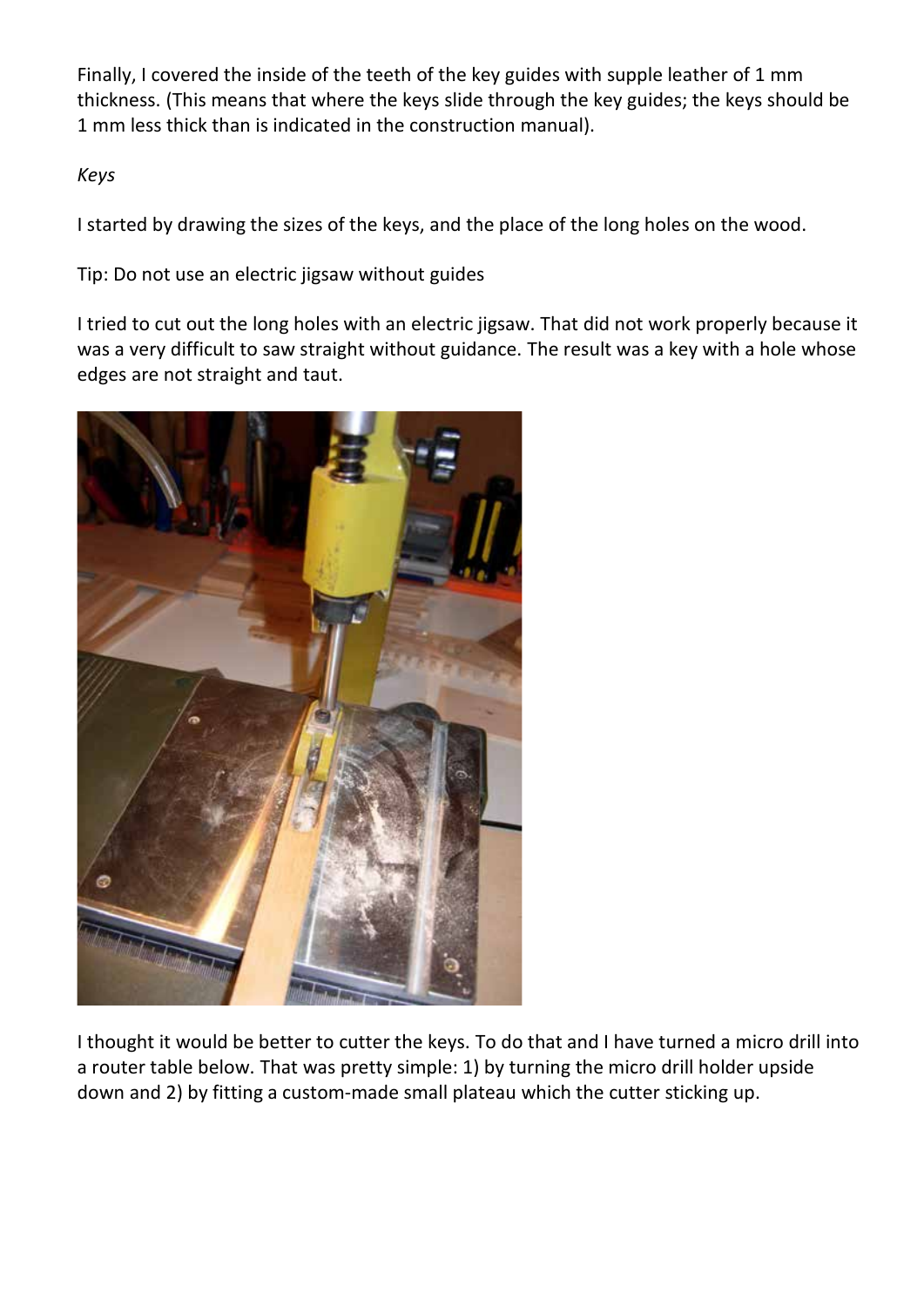Finally, I covered the inside of the teeth of the key guides with supple leather of 1 mm thickness. (This means that where the keys slide through the key guides; the keys should be 1 mm less thick than is indicated in the construction manual).

# *Keys*

I started by drawing the sizes of the keys, and the place of the long holes on the wood.

Tip: Do not use an electric jigsaw without guides

I tried to cut out the long holes with an electric jigsaw. That did not work properly because it was a very difficult to saw straight without guidance. The result was a key with a hole whose edges are not straight and taut.



I thought it would be better to cutter the keys. To do that and I have turned a micro drill into a router table below. That was pretty simple: 1) by turning the micro drill holder upside down and 2) by fitting a custom-made small plateau which the cutter sticking up.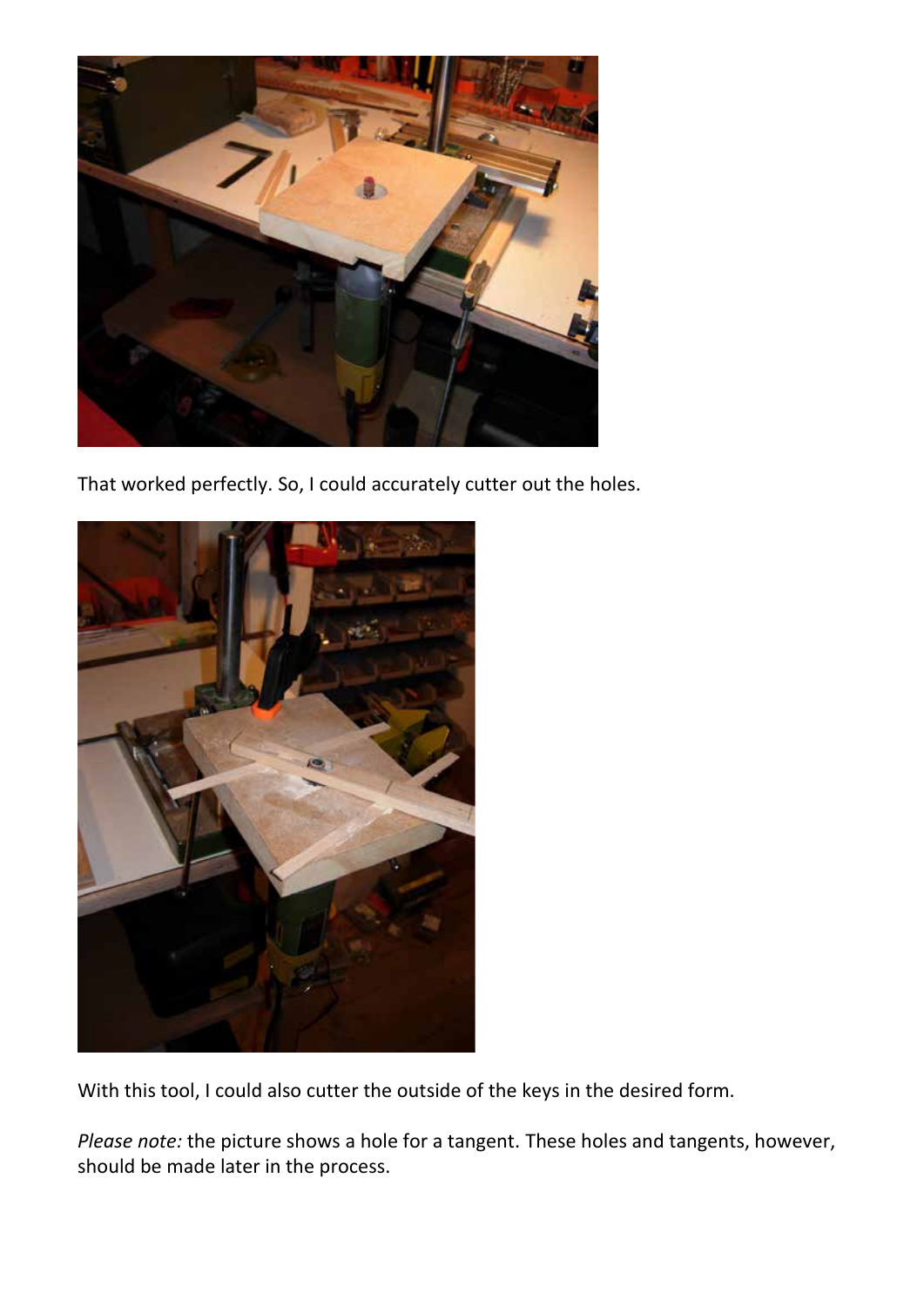

That worked perfectly. So, I could accurately cutter out the holes.



With this tool, I could also cutter the outside of the keys in the desired form.

*Please note:* the picture shows a hole for a tangent. These holes and tangents, however, should be made later in the process.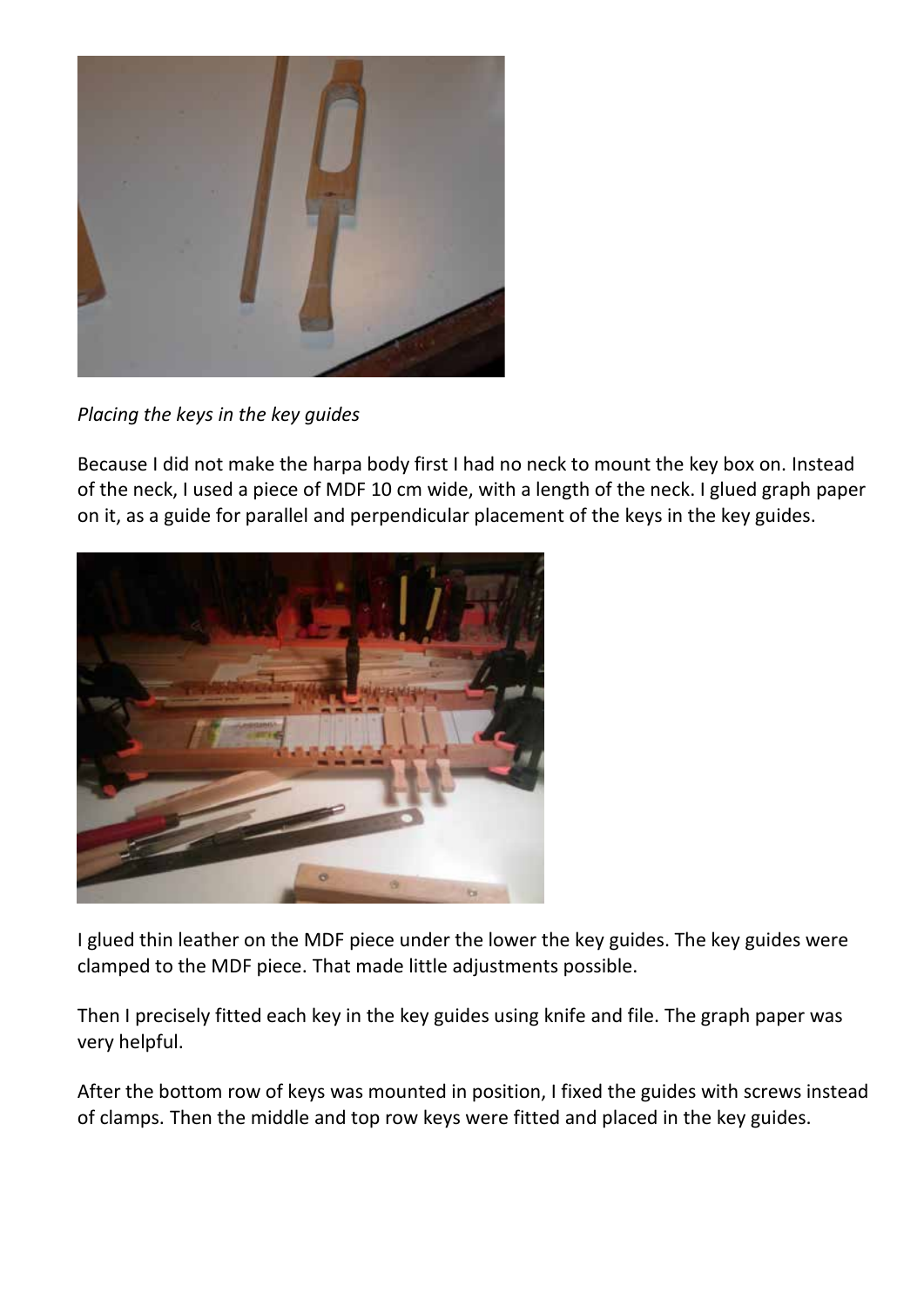

*Placing the keys in the key guides*

Because I did not make the harpa body first I had no neck to mount the key box on. Instead of the neck, I used a piece of MDF 10 cm wide, with a length of the neck. I glued graph paper on it, as a guide for parallel and perpendicular placement of the keys in the key guides.



I glued thin leather on the MDF piece under the lower the key guides. The key guides were clamped to the MDF piece. That made little adjustments possible.

Then I precisely fitted each key in the key guides using knife and file. The graph paper was very helpful.

After the bottom row of keys was mounted in position, I fixed the guides with screws instead of clamps. Then the middle and top row keys were fitted and placed in the key guides.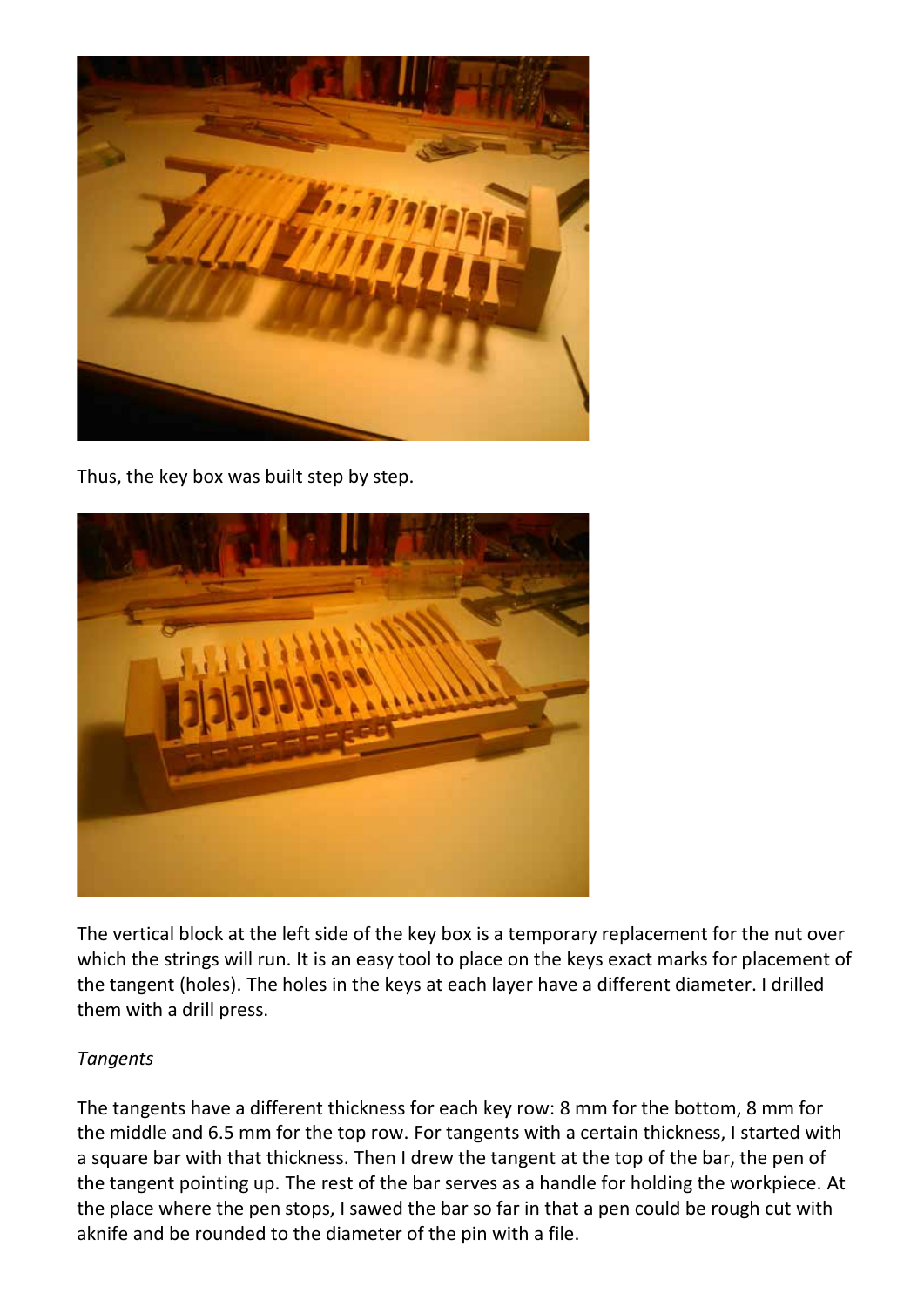

Thus, the key box was built step by step.



The vertical block at the left side of the key box is a temporary replacement for the nut over which the strings will run. It is an easy tool to place on the keys exact marks for placement of the tangent (holes). The holes in the keys at each layer have a different diameter. I drilled them with a drill press.

## *Tangents*

The tangents have a different thickness for each key row: 8 mm for the bottom, 8 mm for the middle and 6.5 mm for the top row. For tangents with a certain thickness, I started with a square bar with that thickness. Then I drew the tangent at the top of the bar, the pen of the tangent pointing up. The rest of the bar serves as a handle for holding the workpiece. At the place where the pen stops, I sawed the bar so far in that a pen could be rough cut with aknife and be rounded to the diameter of the pin with a file.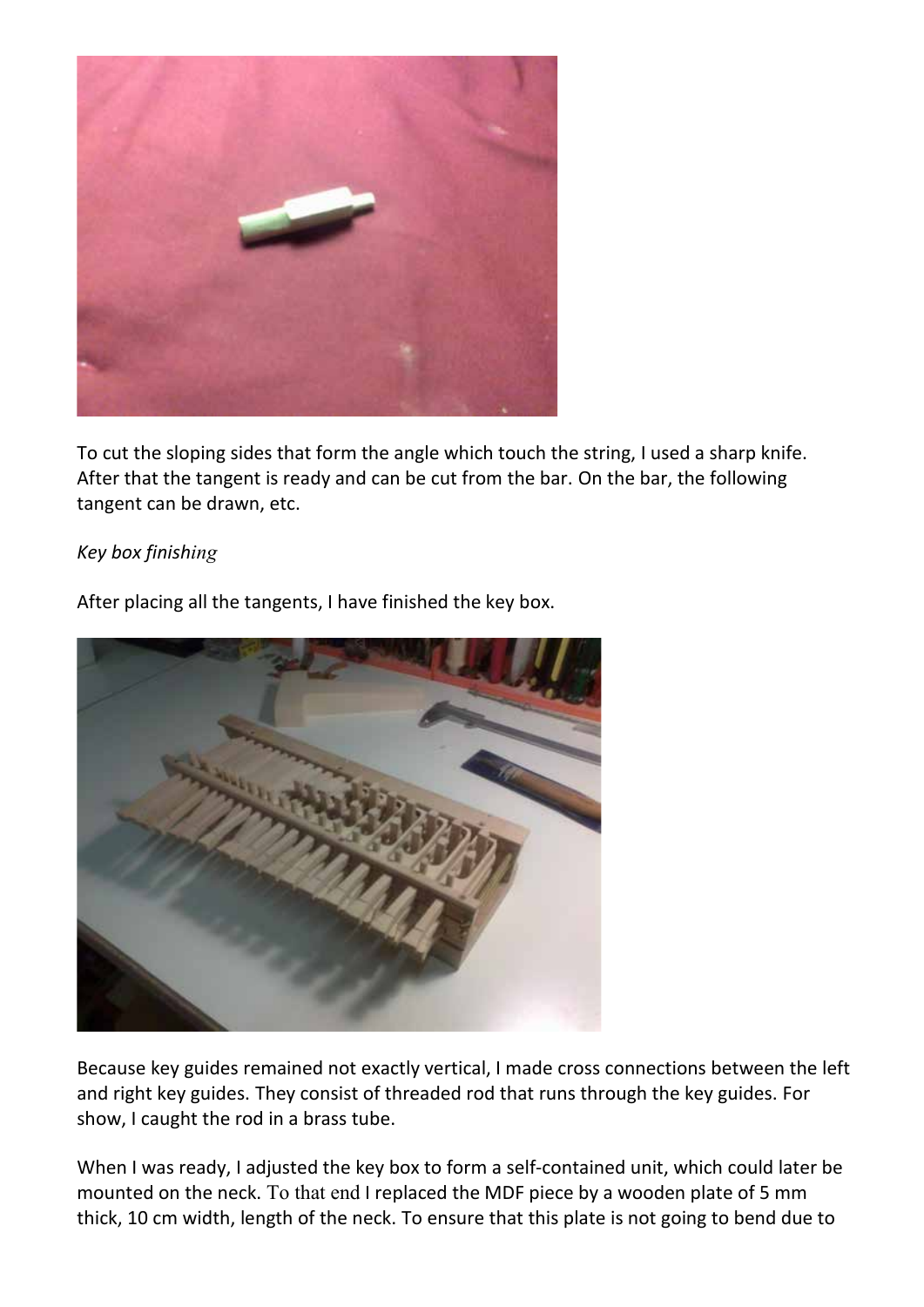

To cut the sloping sides that form the angle which touch the string, I used a sharp knife. After that the tangent is ready and can be cut from the bar. On the bar, the following tangent can be drawn, etc.

### *Key box finishing*



After placing all the tangents, I have finished the key box.

Because key guides remained not exactly vertical, I made cross connections between the left and right key guides. They consist of threaded rod that runs through the key guides. For show, I caught the rod in a brass tube.

When I was ready, I adjusted the key box to form a self-contained unit, which could later be mounted on the neck. To that end I replaced the MDF piece by a wooden plate of 5 mm thick, 10 cm width, length of the neck. To ensure that this plate is not going to bend due to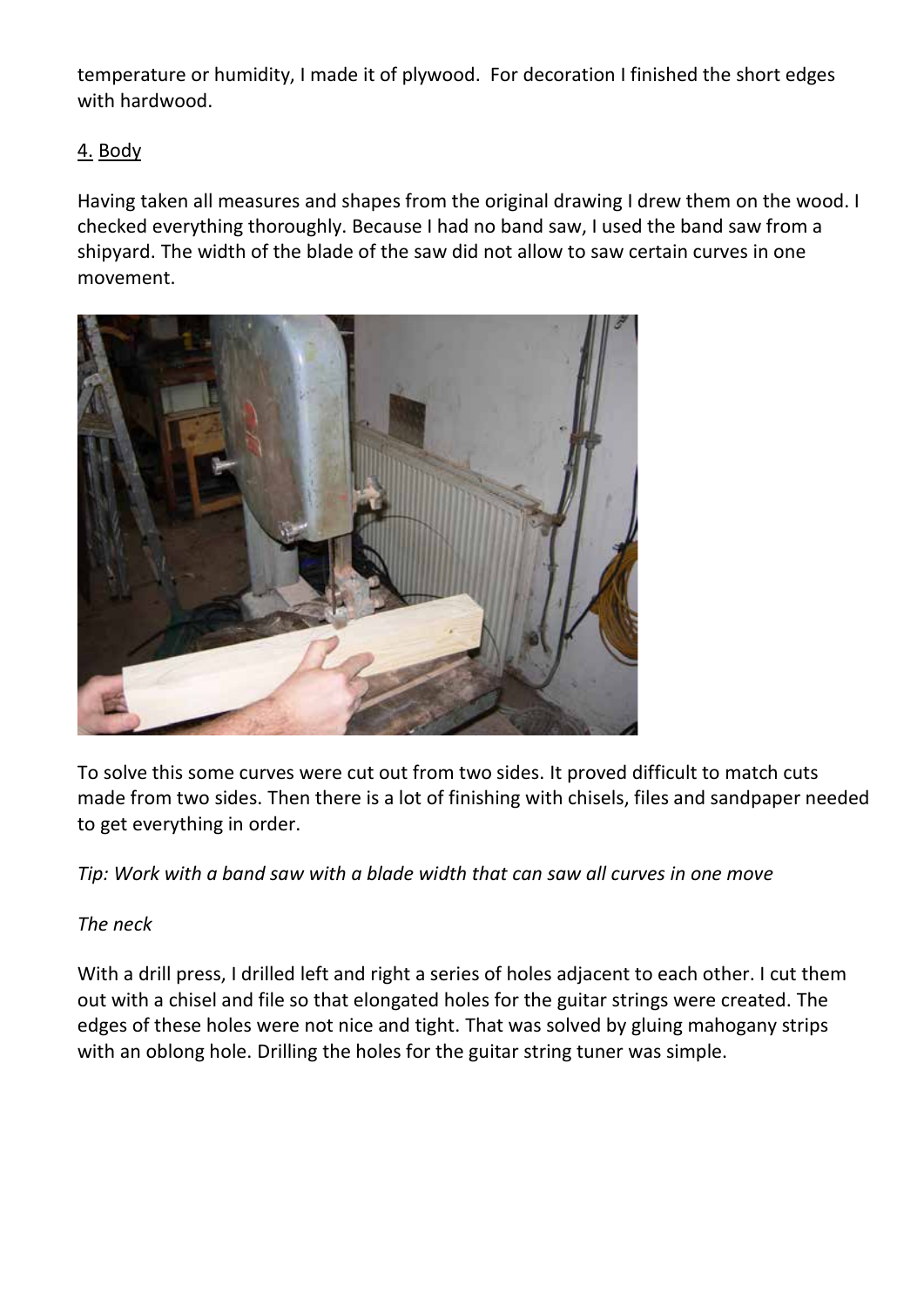temperature or humidity, I made it of plywood. For decoration I finished the short edges with hardwood.

# 4. Body

Having taken all measures and shapes from the original drawing I drew them on the wood. I checked everything thoroughly. Because I had no band saw, I used the band saw from a shipyard. The width of the blade of the saw did not allow to saw certain curves in one movement.



To solve this some curves were cut out from two sides. It proved difficult to match cuts made from two sides. Then there is a lot of finishing with chisels, files and sandpaper needed to get everything in order.

*Tip: Work with a band saw with a blade width that can saw all curves in one move*

# *The neck*

With a drill press, I drilled left and right a series of holes adjacent to each other. I cut them out with a chisel and file so that elongated holes for the guitar strings were created. The edges of these holes were not nice and tight. That was solved by gluing mahogany strips with an oblong hole. Drilling the holes for the guitar string tuner was simple.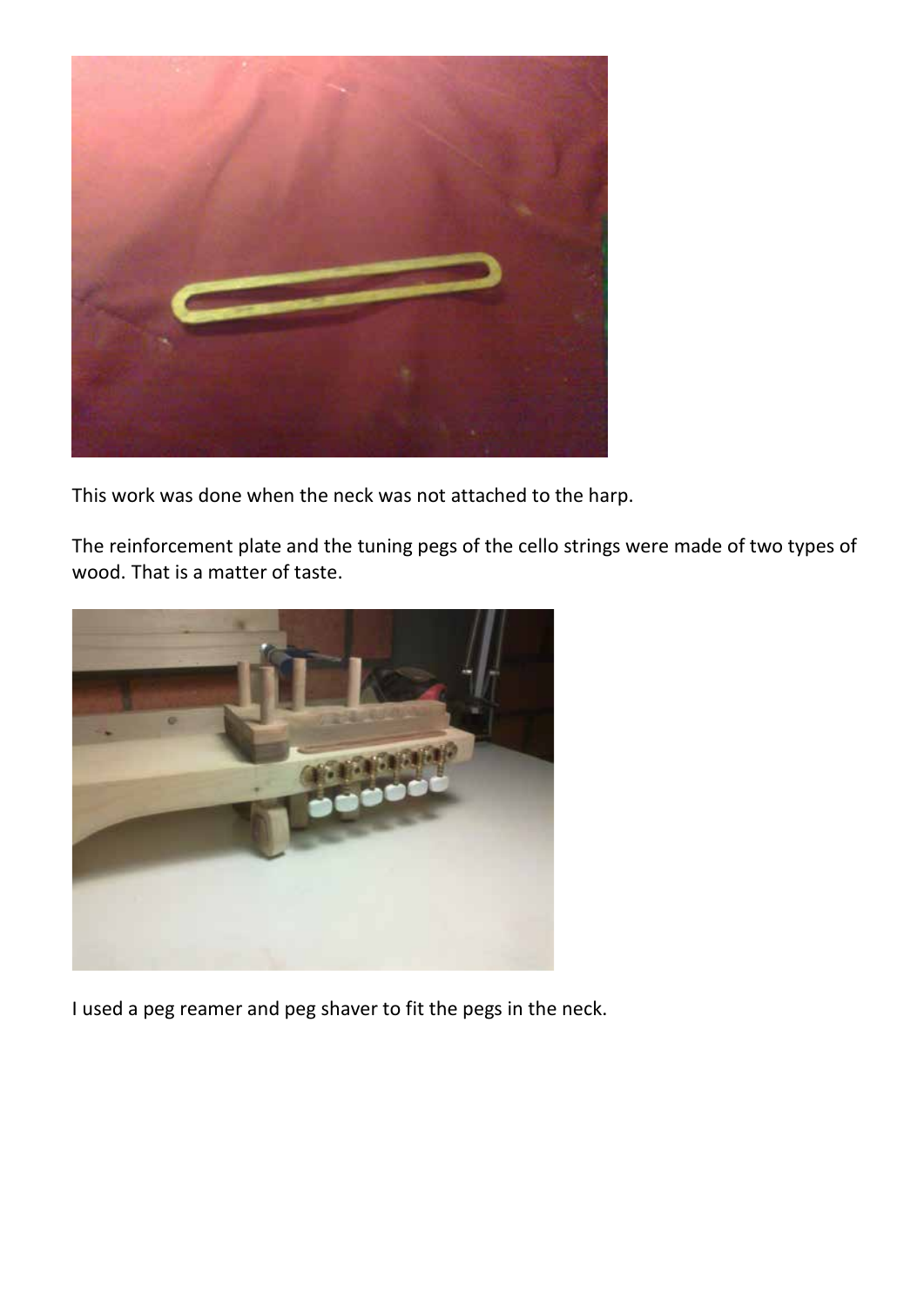

This work was done when the neck was not attached to the harp.

The reinforcement plate and the tuning pegs of the cello strings were made of two types of wood. That is a matter of taste.



I used a peg reamer and peg shaver to fit the pegs in the neck.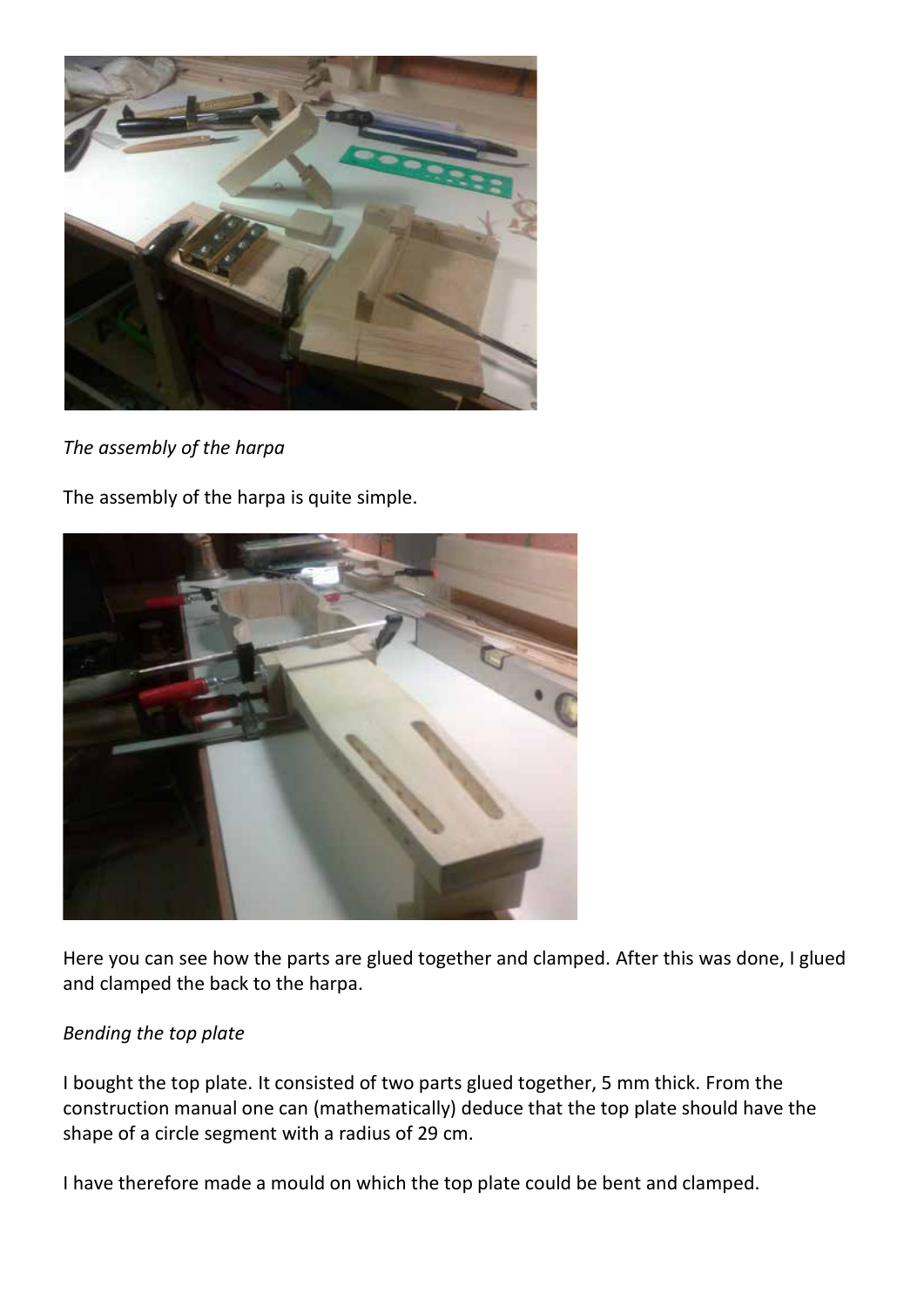

*The assembly of the harpa*

The assembly of the harpa is quite simple.



Here you can see how the parts are glued together and clamped. After this was done, I glued and clamped the back to the harpa.

## *Bending the top plate*

I bought the top plate. It consisted of two parts glued together, 5 mm thick. From the construction manual one can (mathematically) deduce that the top plate should have the shape of a circle segment with a radius of 29 cm.

I have therefore made a mould on which the top plate could be bent and clamped.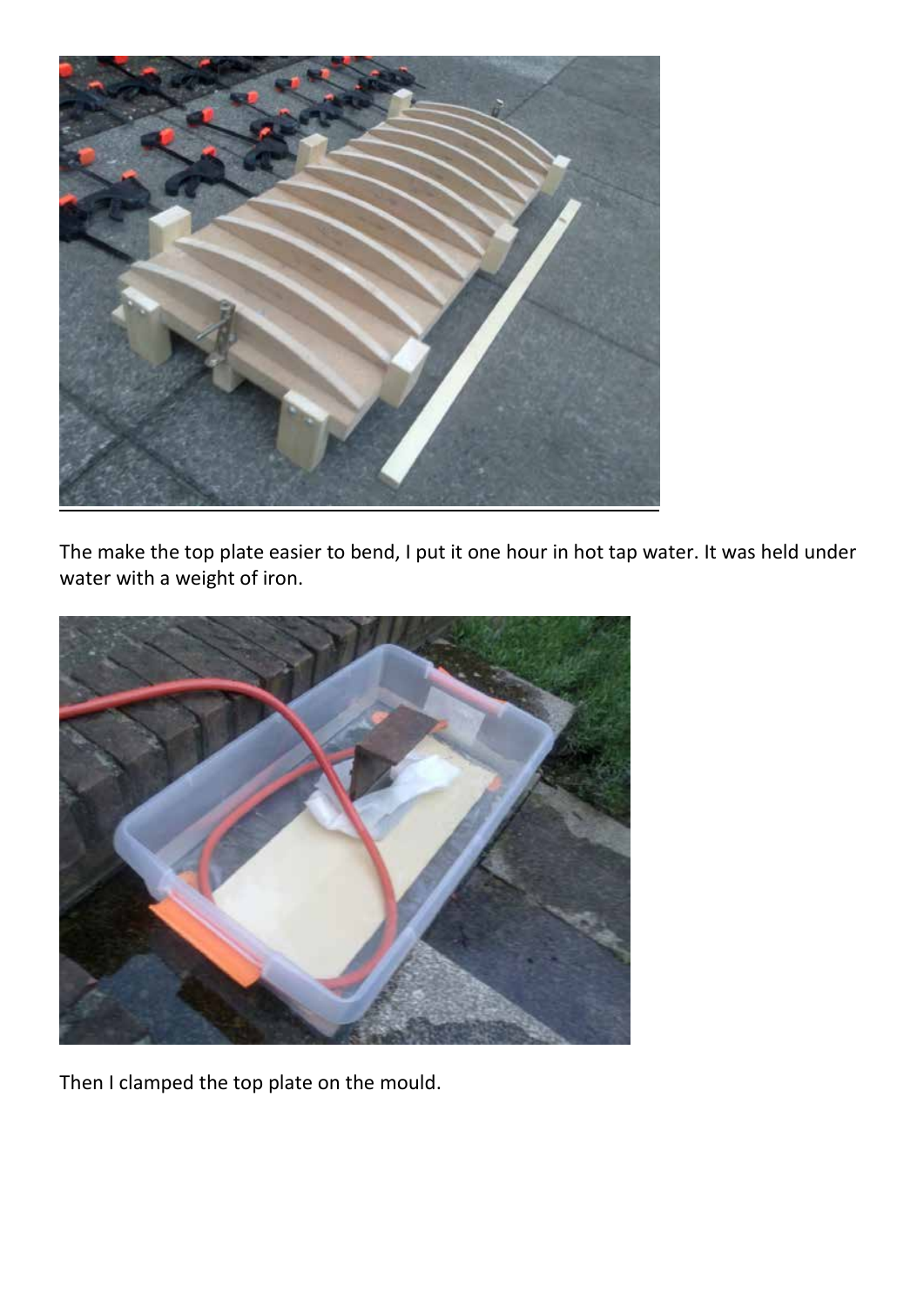

The make the top plate easier to bend, I put it one hour in hot tap water. It was held under water with a weight of iron.



Then I clamped the top plate on the mould.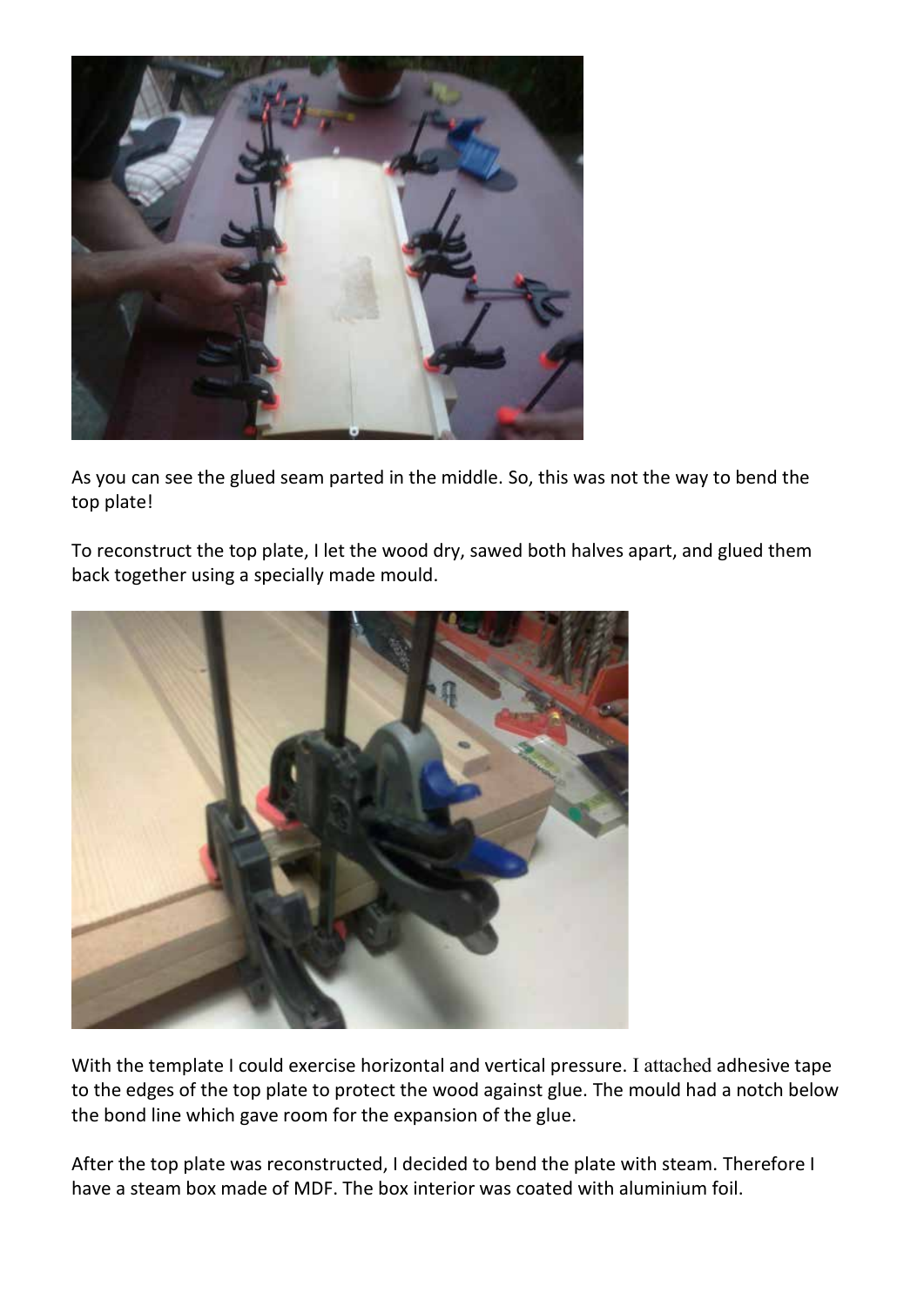

As you can see the glued seam parted in the middle. So, this was not the way to bend the top plate!

To reconstruct the top plate, I let the wood dry, sawed both halves apart, and glued them back together using a specially made mould.



With the template I could exercise horizontal and vertical pressure. I attached adhesive tape to the edges of the top plate to protect the wood against glue. The mould had a notch below the bond line which gave room for the expansion of the glue.

After the top plate was reconstructed, I decided to bend the plate with steam. Therefore I have a steam box made of MDF. The box interior was coated with aluminium foil.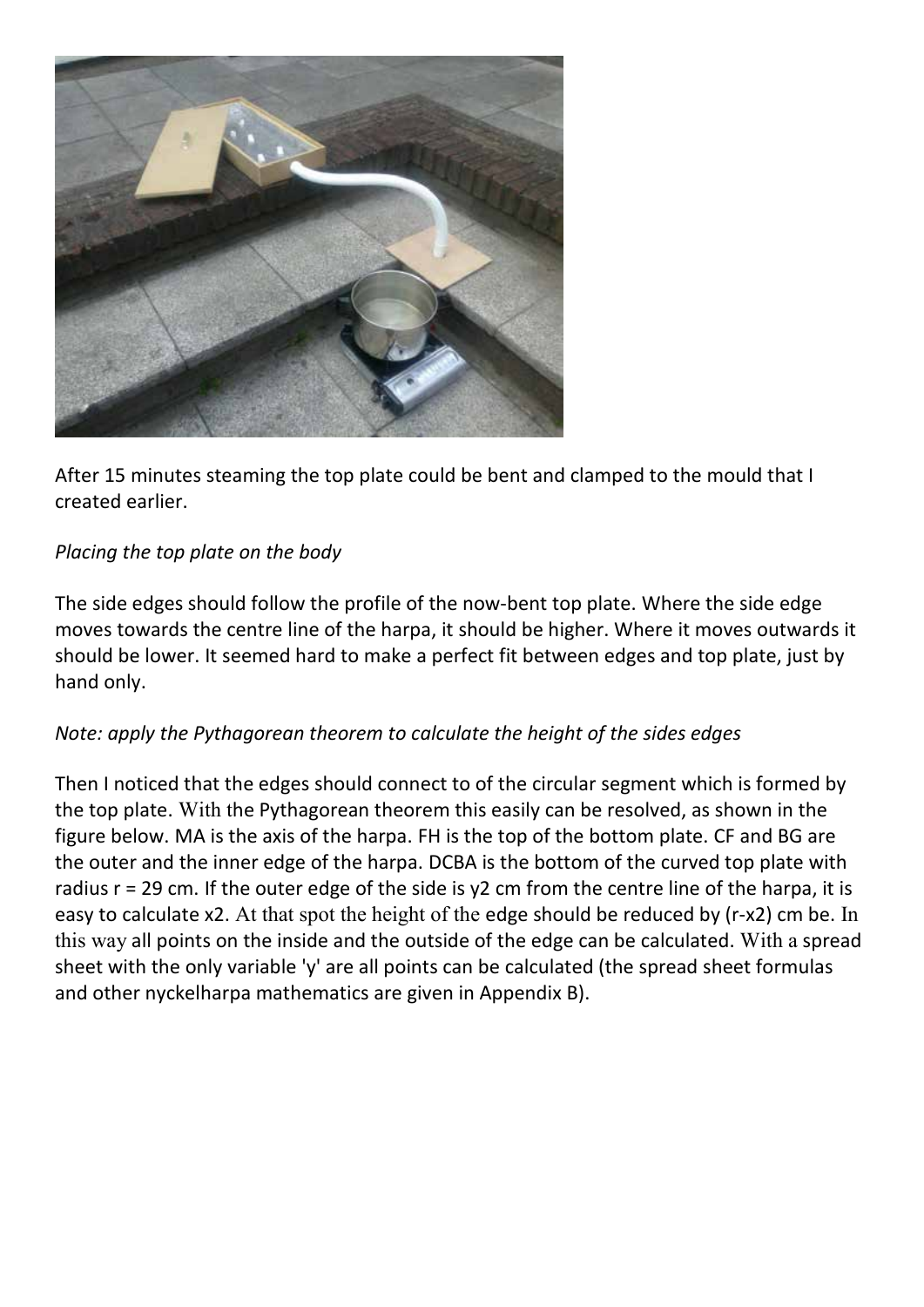

After 15 minutes steaming the top plate could be bent and clamped to the mould that I created earlier.

# *Placing the top plate on the body*

The side edges should follow the profile of the now-bent top plate. Where the side edge moves towards the centre line of the harpa, it should be higher. Where it moves outwards it should be lower. It seemed hard to make a perfect fit between edges and top plate, just by hand only.

# *Note: apply the Pythagorean theorem to calculate the height of the sides edges*

Then I noticed that the edges should connect to of the circular segment which is formed by the top plate. With the Pythagorean theorem this easily can be resolved, as shown in the figure below. MA is the axis of the harpa. FH is the top of the bottom plate. CF and BG are the outer and the inner edge of the harpa. DCBA is the bottom of the curved top plate with radius r = 29 cm. If the outer edge of the side is y2 cm from the centre line of the harpa, it is easy to calculate x2. At that spot the height of the edge should be reduced by (r-x2) cm be. In this way all points on the inside and the outside of the edge can be calculated. With a spread sheet with the only variable 'y' are all points can be calculated (the spread sheet formulas and other nyckelharpa mathematics are given in Appendix B).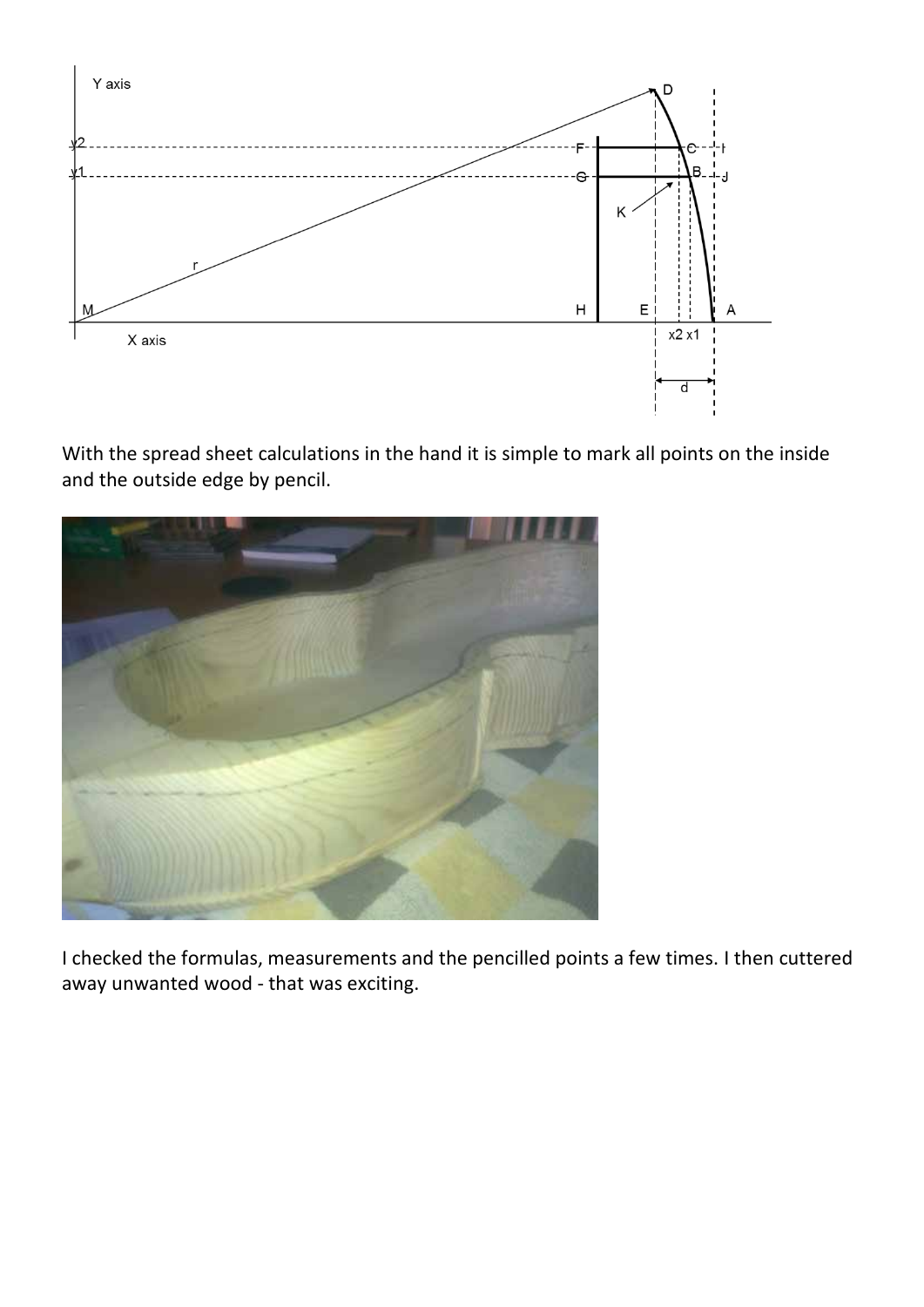

With the spread sheet calculations in the hand it is simple to mark all points on the inside and the outside edge by pencil.



I checked the formulas, measurements and the pencilled points a few times. I then cuttered away unwanted wood - that was exciting.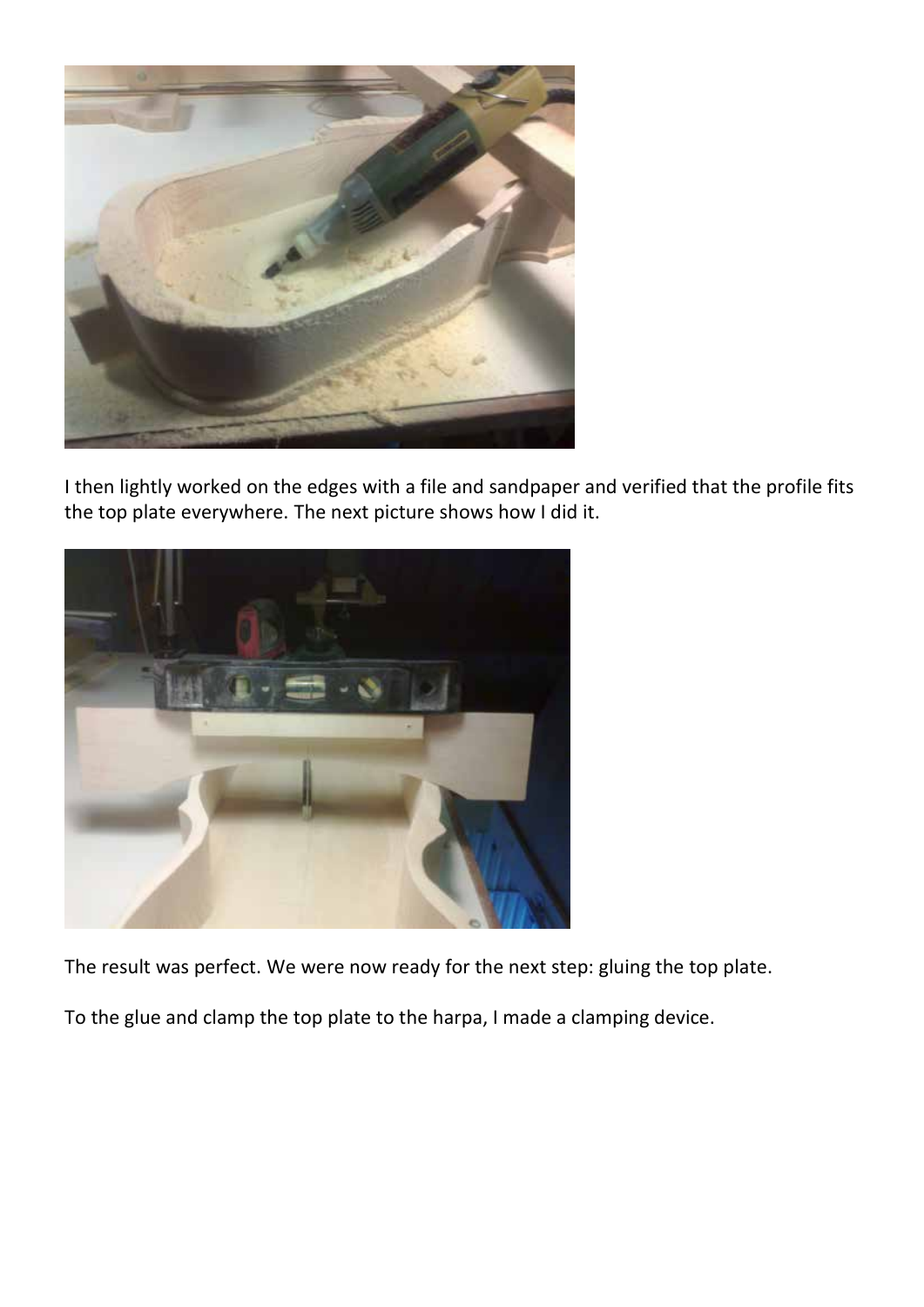

I then lightly worked on the edges with a file and sandpaper and verified that the profile fits the top plate everywhere. The next picture shows how I did it.



The result was perfect. We were now ready for the next step: gluing the top plate.

To the glue and clamp the top plate to the harpa, I made a clamping device.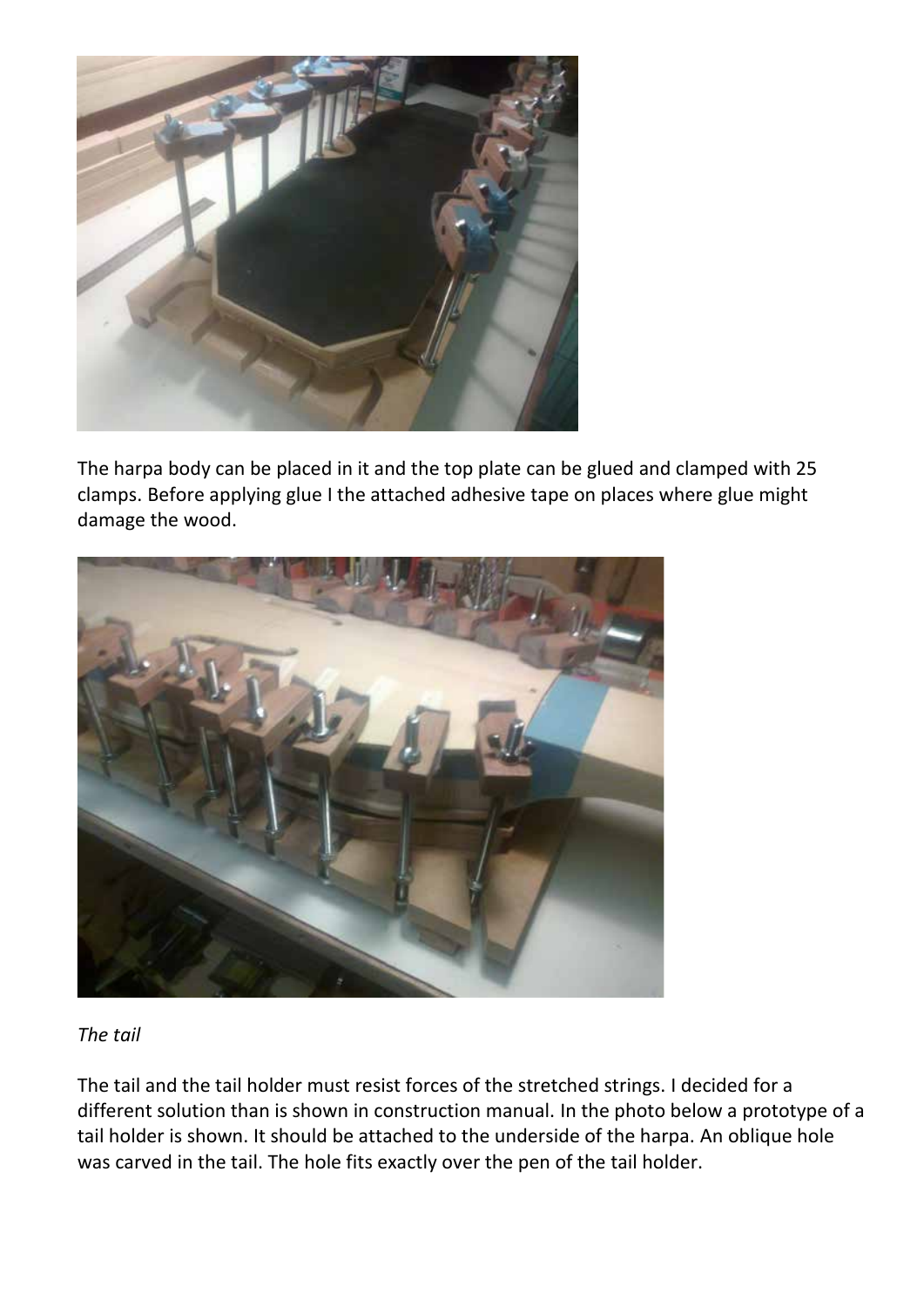

The harpa body can be placed in it and the top plate can be glued and clamped with 25 clamps. Before applying glue I the attached adhesive tape on places where glue might damage the wood.



*The tail*

The tail and the tail holder must resist forces of the stretched strings. I decided for a different solution than is shown in construction manual. In the photo below a prototype of a tail holder is shown. It should be attached to the underside of the harpa. An oblique hole was carved in the tail. The hole fits exactly over the pen of the tail holder.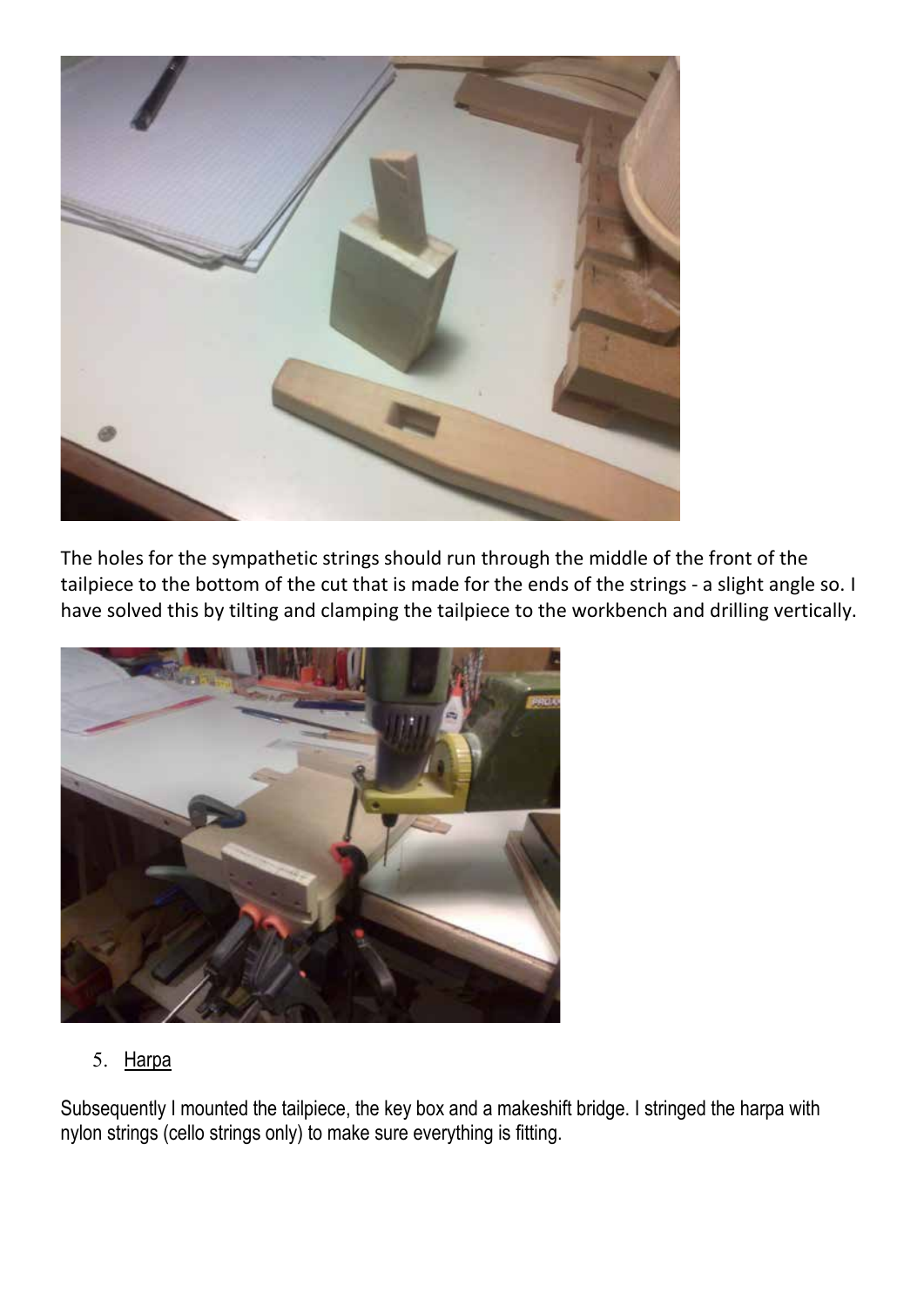

The holes for the sympathetic strings should run through the middle of the front of the tailpiece to the bottom of the cut that is made for the ends of the strings - a slight angle so. I have solved this by tilting and clamping the tailpiece to the workbench and drilling vertically.



5. Harpa

Subsequently I mounted the tailpiece, the key box and a makeshift bridge. I stringed the harpa with nylon strings (cello strings only) to make sure everything is fitting.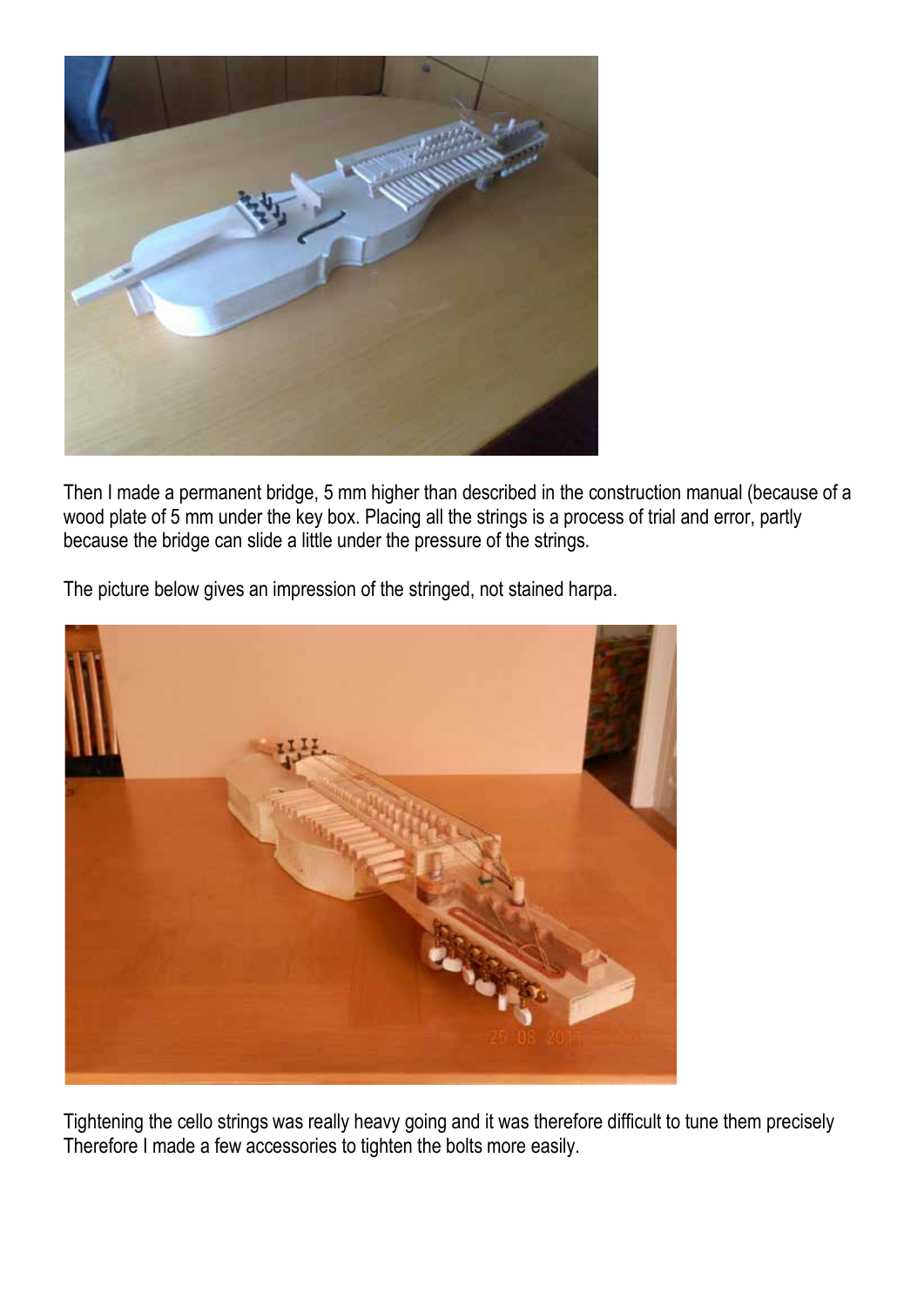

Then I made a permanent bridge, 5 mm higher than described in the construction manual (because of a wood plate of 5 mm under the key box. Placing all the strings is a process of trial and error, partly because the bridge can slide a little under the pressure of the strings.

The picture below gives an impression of the stringed, not stained harpa.



Tightening the cello strings was really heavy going and it was therefore difficult to tune them precisely Therefore I made a few accessories to tighten the bolts more easily.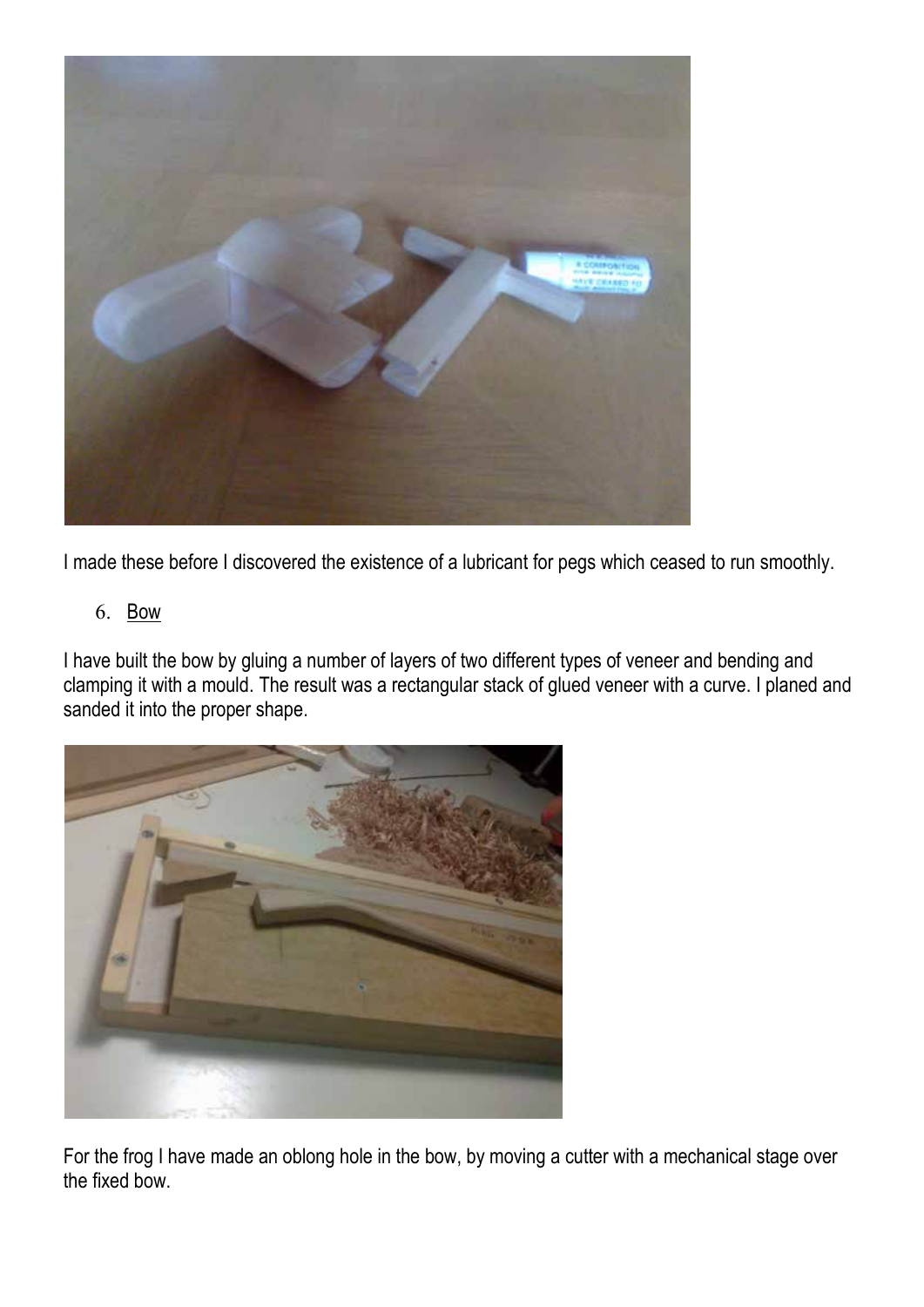

I made these before I discovered the existence of a lubricant for pegs which ceased to run smoothly.

# 6. Bow

I have built the bow by gluing a number of layers of two different types of veneer and bending and clamping it with a mould. The result was a rectangular stack of glued veneer with a curve. I planed and sanded it into the proper shape.



For the frog I have made an oblong hole in the bow, by moving a cutter with a mechanical stage over the fixed bow.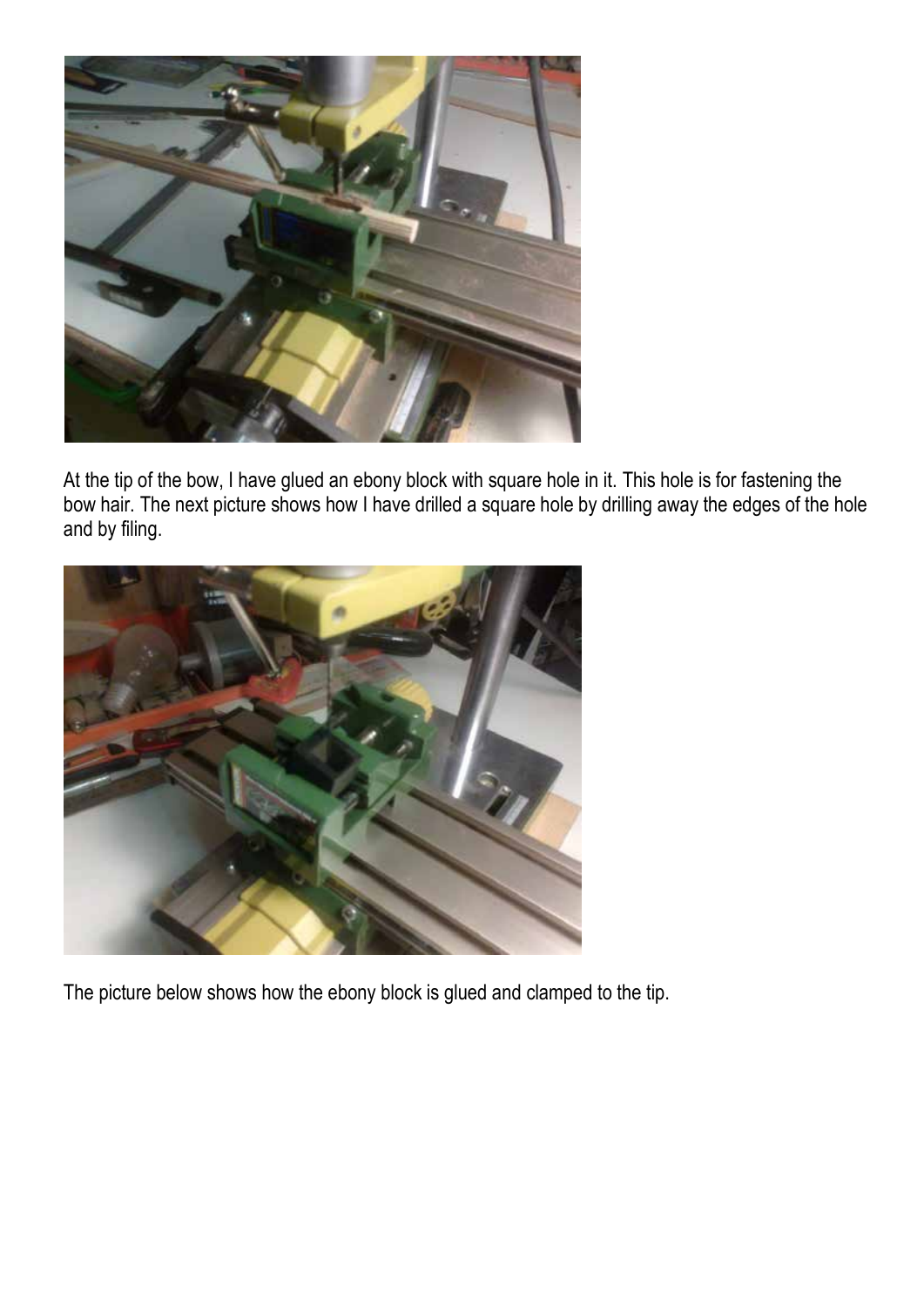

At the tip of the bow, I have glued an ebony block with square hole in it. This hole is for fastening the bow hair. The next picture shows how I have drilled a square hole by drilling away the edges of the hole and by filing.



The picture below shows how the ebony block is glued and clamped to the tip.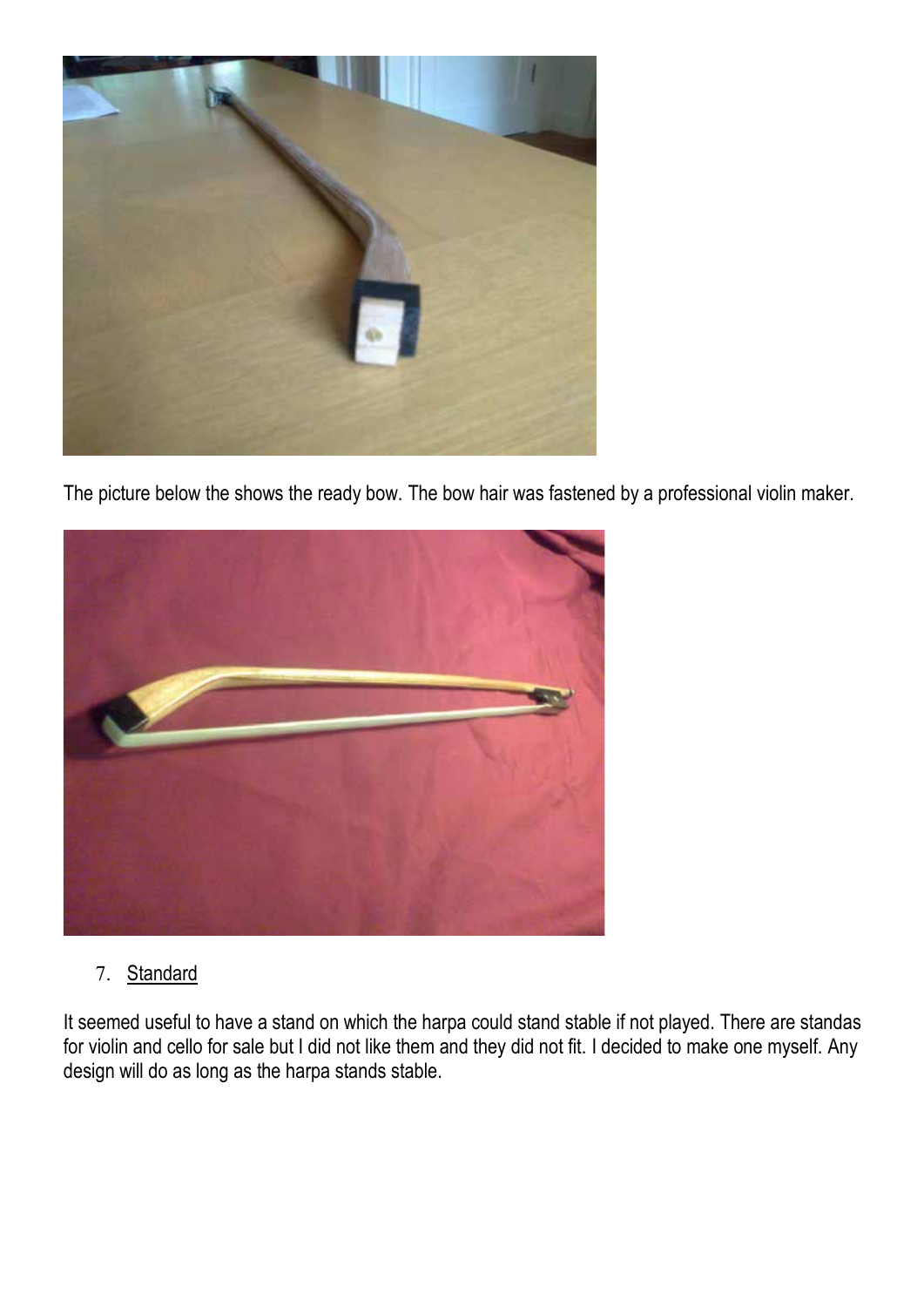

The picture below the shows the ready bow. The bow hair was fastened by a professional violin maker.



# 7. Standard

It seemed useful to have a stand on which the harpa could stand stable if not played. There are standas for violin and cello for sale but I did not like them and they did not fit. I decided to make one myself. Any design will do as long as the harpa stands stable.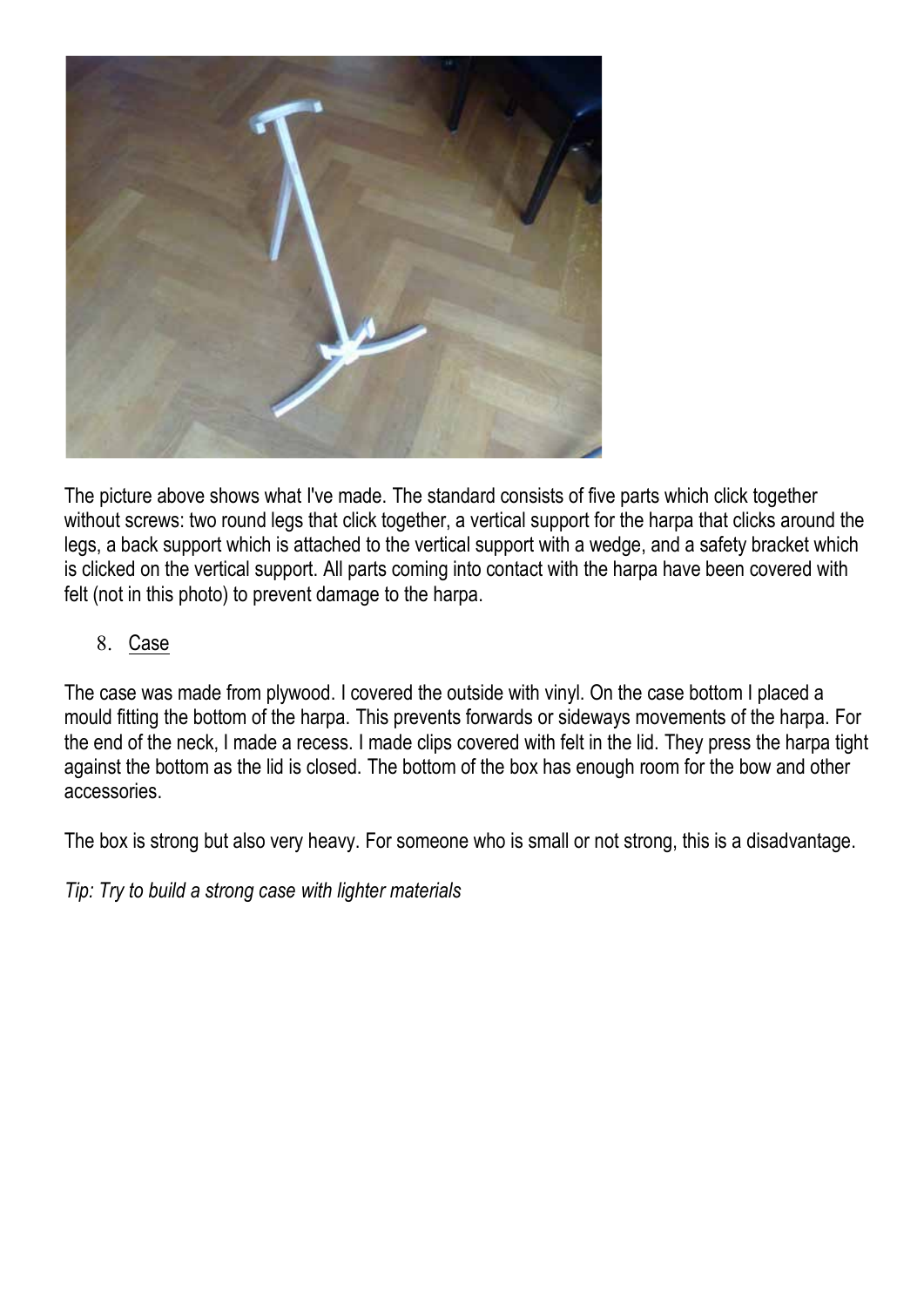

The picture above shows what I've made. The standard consists of five parts which click together without screws: two round legs that click together, a vertical support for the harpa that clicks around the legs, a back support which is attached to the vertical support with a wedge, and a safety bracket which is clicked on the vertical support. All parts coming into contact with the harpa have been covered with felt (not in this photo) to prevent damage to the harpa.

8. Case

The case was made from plywood. I covered the outside with vinyl. On the case bottom I placed a mould fitting the bottom of the harpa. This prevents forwards or sideways movements of the harpa. For the end of the neck, I made a recess. I made clips covered with felt in the lid. They press the harpa tight against the bottom as the lid is closed. The bottom of the box has enough room for the bow and other accessories.

The box is strong but also very heavy. For someone who is small or not strong, this is a disadvantage.

*Tip: Try to build a strong case with lighter materials*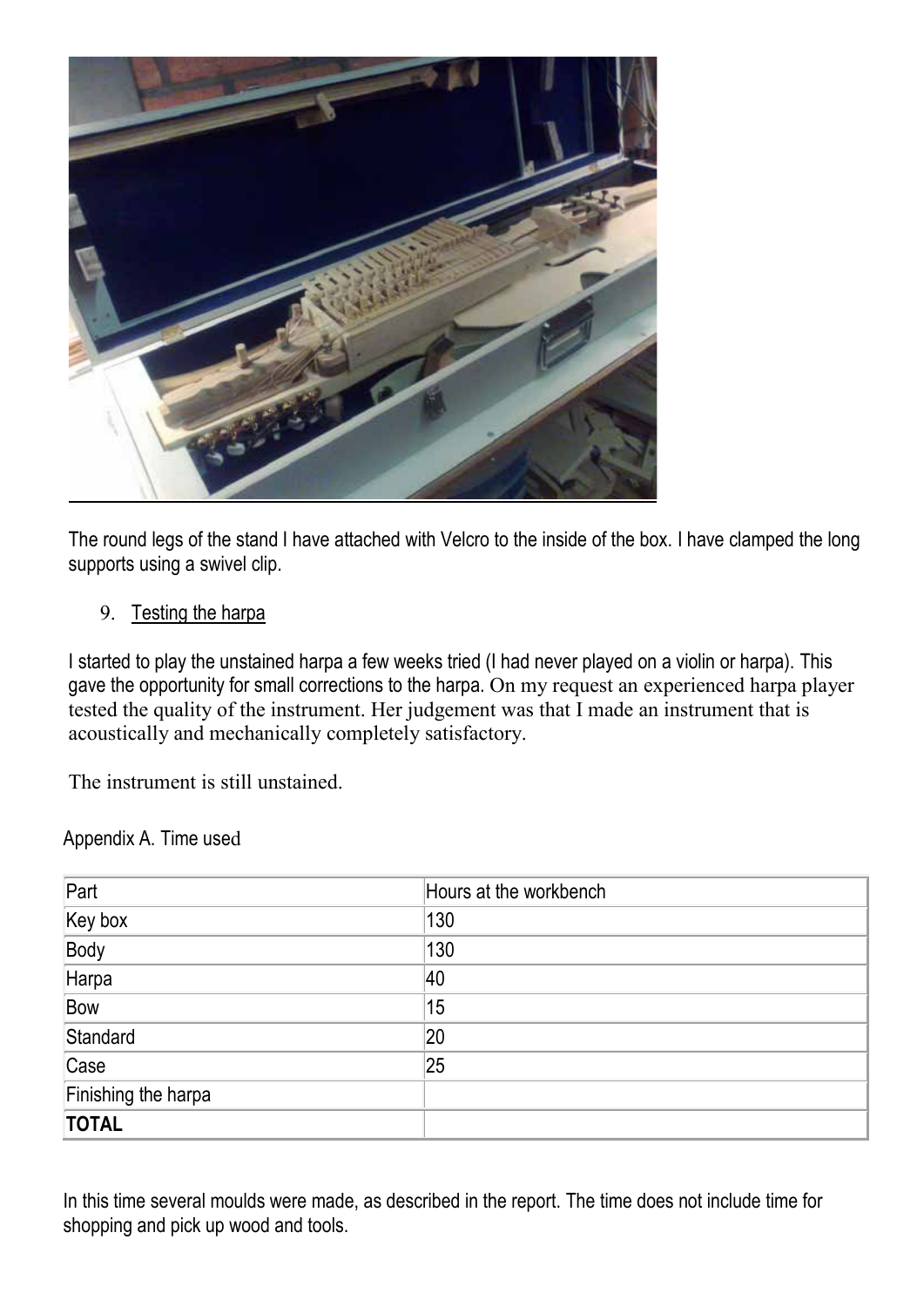

The round legs of the stand I have attached with Velcro to the inside of the box. I have clamped the long supports using a swivel clip.

9. Testing the harpa

I started to play the unstained harpa a few weeks tried (I had never played on a violin or harpa). This gave the opportunity for small corrections to the harpa. On my request an experienced harpa player tested the quality of the instrument. Her judgement was that I made an instrument that is acoustically and mechanically completely satisfactory.

The instrument is still unstained.

Appendix A. Time used

| Part                | Hours at the workbench |
|---------------------|------------------------|
| Key box             | 130                    |
| Body                | 130                    |
| Harpa               | 40                     |
| Bow                 | 15                     |
| Standard            | 20                     |
| Case                | 25                     |
| Finishing the harpa |                        |
| <b>TOTAL</b>        |                        |

In this time several moulds were made, as described in the report. The time does not include time for shopping and pick up wood and tools.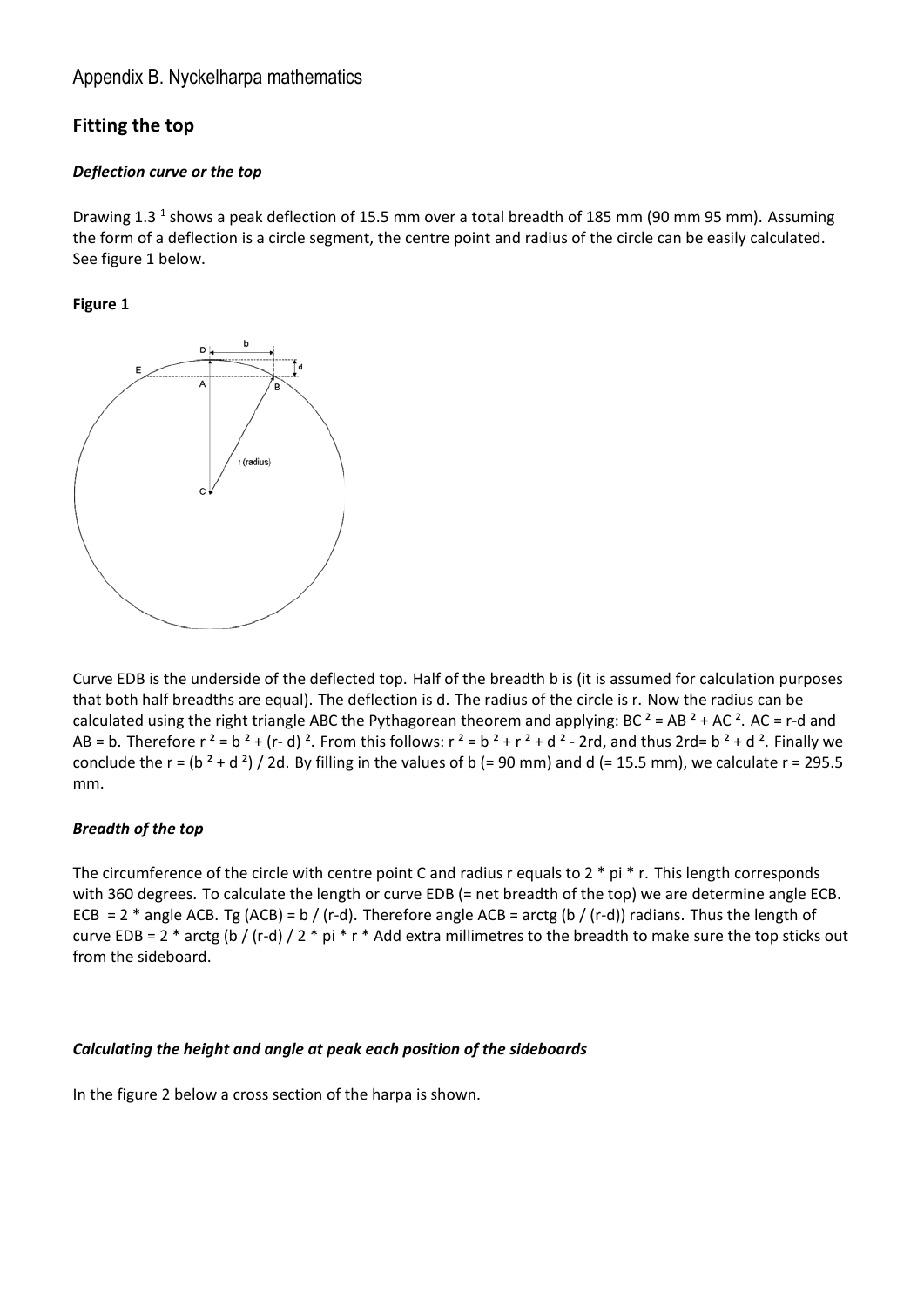#### Appendix B. Nyckelharpa mathematics

### **Fitting the top**

#### *Deflection curve or the top*

Drawing 1.3<sup>1</sup> shows a peak deflection of 15.5 mm over a total breadth of 185 mm (90 mm 95 mm). Assuming the form of a deflection is a circle segment, the centre point and radius of the circle can be easily calculated. See figure 1 below.

#### **Figure 1**



Curve EDB is the underside of the deflected top. Half of the breadth b is (it is assumed for calculation purposes that both half breadths are equal). The deflection is d. The radius of the circle is r. Now the radius can be calculated using the right triangle ABC the Pythagorean theorem and applying: BC  $2 = AB$   $2 + AC$   $2$ . AC = r-d and AB = b. Therefore  $r^2 = b^2 + (r-d)^2$ . From this follows:  $r^2 = b^2 + r^2 + d^2 - 2rd$ , and thus  $2rd = b^2 + d^2$ . Finally we conclude the r = (b  $^2$  + d  $^2$ ) / 2d. By filling in the values of b (= 90 mm) and d (= 15.5 mm), we calculate r = 295.5 mm.

#### *Breadth of the top*

The circumference of the circle with centre point C and radius r equals to 2 \* pi \* r. This length corresponds with 360 degrees. To calculate the length or curve EDB (= net breadth of the top) we are determine angle ECB. ECB = 2  $*$  angle ACB. Tg (ACB) = b / (r-d). Therefore angle ACB = arctg (b / (r-d)) radians. Thus the length of curve EDB = 2  $*$  arctg (b / (r-d) / 2  $*$  pi  $*$  r  $*$  Add extra millimetres to the breadth to make sure the top sticks out from the sideboard.

#### *Calculating the height and angle at peak each position of the sideboards*

In the figure 2 below a cross section of the harpa is shown.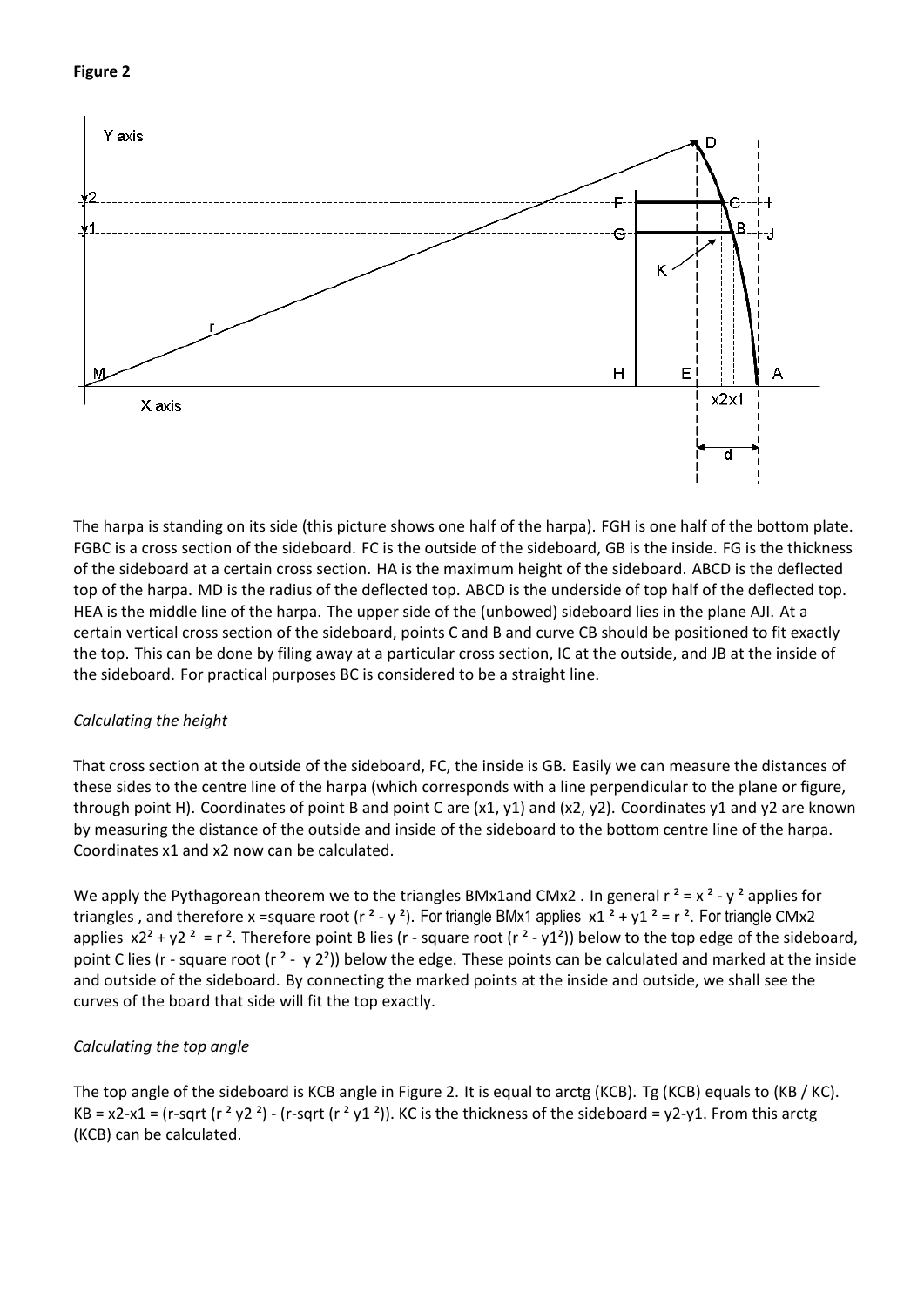#### **Figure 2**



The harpa is standing on its side (this picture shows one half of the harpa). FGH is one half of the bottom plate. FGBC is a cross section of the sideboard. FC is the outside of the sideboard, GB is the inside. FG is the thickness of the sideboard at a certain cross section. HA is the maximum height of the sideboard. ABCD is the deflected top of the harpa. MD is the radius of the deflected top. ABCD is the underside of top half of the deflected top. HEA is the middle line of the harpa. The upper side of the (unbowed) sideboard lies in the plane AJI. At a certain vertical cross section of the sideboard, points C and B and curve CB should be positioned to fit exactly the top. This can be done by filing away at a particular cross section, IC at the outside, and JB at the inside of the sideboard. For practical purposes BC is considered to be a straight line.

#### *Calculating the height*

That cross section at the outside of the sideboard, FC, the inside is GB. Easily we can measure the distances of these sides to the centre line of the harpa (which corresponds with a line perpendicular to the plane or figure, through point H). Coordinates of point B and point C are (x1, y1) and (x2, y2). Coordinates y1 and y2 are known by measuring the distance of the outside and inside of the sideboard to the bottom centre line of the harpa. Coordinates x1 and x2 now can be calculated.

We apply the Pythagorean theorem we to the triangles BMx1and CMx2 . In general  $r^2 = x^2 - y^2$  applies for triangles, and therefore x = square root ( $r^2 - y^2$ ). For triangle BMx1 applies  $x1^2 + y1^2 = r^2$ . For triangle CMx2 applies  $x^2 + y^2 = r^2$ . Therefore point B lies (r - square root (r<sup>2</sup> - y1<sup>2</sup>)) below to the top edge of the sideboard, point C lies (r - square root (r<sup>2</sup> - y 2<sup>2</sup>)) below the edge. These points can be calculated and marked at the inside and outside of the sideboard. By connecting the marked points at the inside and outside, we shall see the curves of the board that side will fit the top exactly.

#### *Calculating the top angle*

The top angle of the sideboard is KCB angle in Figure 2. It is equal to arctg (KCB). Tg (KCB) equals to (KB / KC). KB = x2-x1 = (r-sqrt (r<sup>2</sup> y2<sup>2</sup>) - (r-sqrt (r<sup>2</sup> y1<sup>2</sup>)). KC is the thickness of the sideboard = y2-y1. From this arctg (KCB) can be calculated.